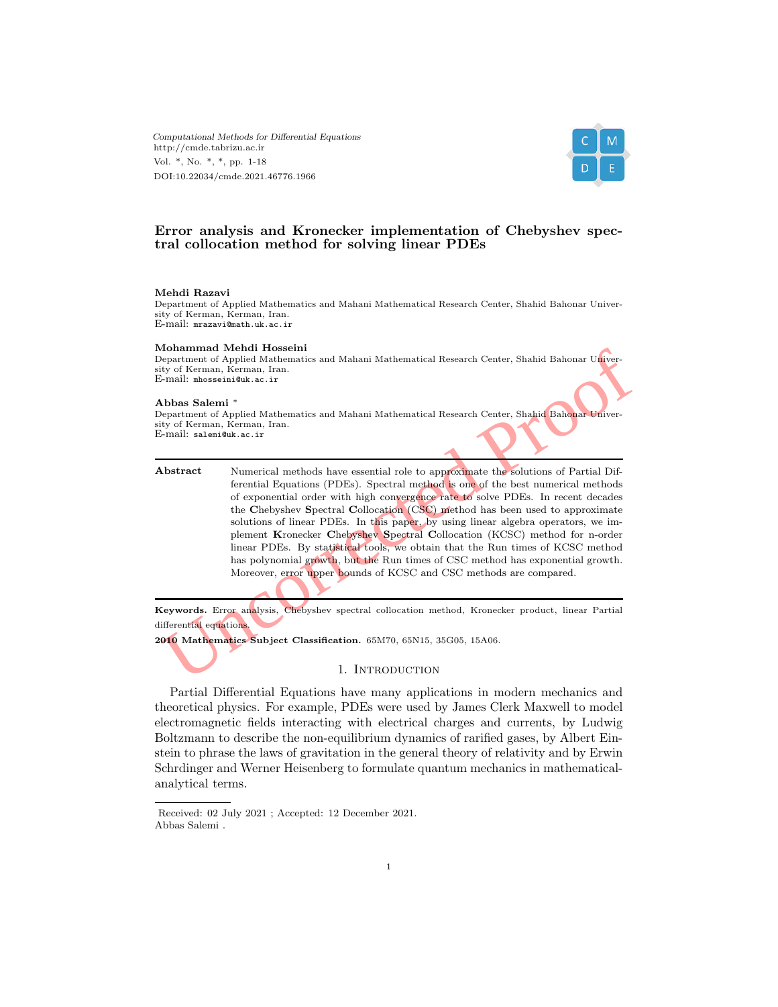*Computational Methods for Differential Equations* http://cmde.tabrizu.ac.ir Vol. \*, No. \*, \*, pp. 1-18 DOI:10.22034/cmde.2021.46776.1966



#### **Error analysis and Kronecker implementation of Chebyshev spectral collocation method for solving linear PDEs**

#### **Mehdi Razavi**

Department of Applied Mathematics and Mahani Mathematical Research Center, Shahid Bahonar University of Kerman, Kerman, Iran. E-mail: mrazavi@math.uk.ac.ir

#### **Mohammad Mehdi Hosseini**

Department of Applied Mathematics and Mahani Mathematical Research Center, Shahid Bahonar University of Kerman, Kerman, Iran. E-mail: mhosseini@uk.ac.ir

#### **Abbas Salemi** *∗*

Department of Applied Mathematics and Mahani Mathematical Research Center, Shahid Bahonar University of Kerman, Kerman, Iran. E-mail: salemi@uk.ac.ir

Formann Mennin Insessenti<br>
Mohammar University of Repriment of Applied Mathematics and Mahani Mathematical Research Center, Shahid Bahonar University of Kerman, Iran.<br>
Whose Salemi \*<br>
Whose Salemi \*<br>
Whose Salemi \*<br>
Whose **Abstract** Numerical methods have essential role to approximate the solutions of Partial Differential Equations (PDEs). Spectral method is one of the best numerical methods of exponential order with high convergence rate to solve PDEs. In recent decades the **C**hebyshev **S**pectral **C**ollocation (CSC) method has been used to approximate solutions of linear PDEs. In this paper, by using linear algebra operators, we implement **K**ronecker **C**hebyshev **S**pectral **C**ollocation (KCSC) method for n-order linear PDEs. By statistical tools, we obtain that the Run times of KCSC method has polynomial growth, but the Run times of CSC method has exponential growth. Moreover, error upper bounds of KCSC and CSC methods are compared.

**Keywords.** Error analysis, Chebyshev spectral collocation method, Kronecker product, linear Partial differential equations.

**2010 Mathematics Subject Classification.** 65M70, 65N15, 35G05, 15A06.

#### 1. INTRODUCTION

Partial Differential Equations have many applications in modern mechanics and theoretical physics. For example, PDEs were used by James Clerk Maxwell to model electromagnetic fields interacting with electrical charges and currents, by Ludwig Boltzmann to describe the non-equilibrium dynamics of rarified gases, by Albert Einstein to phrase the laws of gravitation in the general theory of relativity and by Erwin Schrdinger and Werner Heisenberg to formulate quantum mechanics in mathematicalanalytical terms.

Received: 02 July 2021 ; Accepted: 12 December 2021. Abbas Salemi .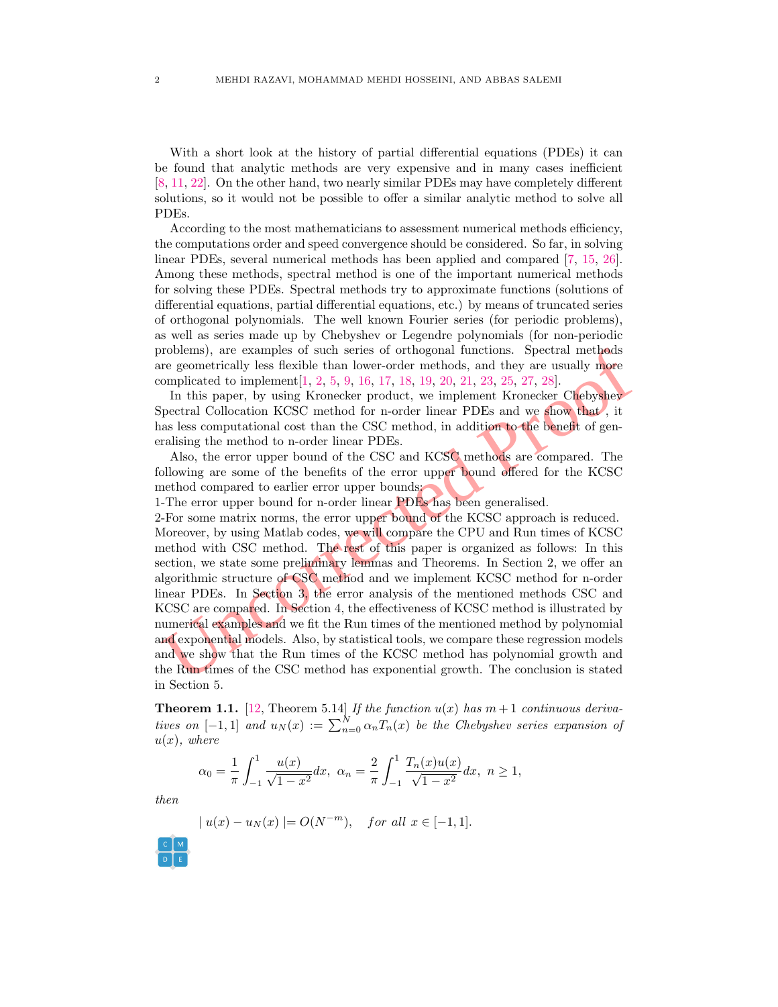With a short look at the history of partial differential equations (PDEs) it can be found that analytic methods are very expensive and in many cases inefficient [[8](#page-16-0), [11,](#page-16-1) [22](#page-16-2)]. On the other hand, two nearly similar PDEs may have completely different solutions, so it would not be possible to offer a similar analytic method to solve all PDEs.

According to the most mathematicians to assessment numerical methods efficiency, the computations order and speed convergence should be considered. So far, in solving linear PDEs, several numerical methods has been applied and compared [[7](#page-16-3), [15](#page-16-4), [26\]](#page-16-5). Among these methods, spectral method is one of the important numerical methods for solving these PDEs. Spectral methods try to approximate functions (solutions of differential equations, partial differential equations, etc.) by means of truncated series of orthogonal polynomials. The well known Fourier series (for periodic problems), as well as series made up by Chebyshev or Legendre polynomials (for non-periodic problems), are examples of such series of orthogonal functions. Spectral methods are geometrically less flexible than lower-order methods, and they are usually more complicated to implement  $[1, 2, 5, 9, 16, 17, 18, 19, 20, 21, 23, 25, 27, 28]$ .

In this paper, by using Kronecker product, we implement Kronecker Chebyshev Spectral Collocation KCSC method for n-order linear PDEs and we show that , it has less computational cost than the CSC method, in addition to the benefit of generalising the method to n-order linear PDEs.

Also, the error upper bound of the CSC and KCSC methods are compared. The following are some of the benefits of the error upper bound offered for the KCSC method compared to earlier error upper bounds:

1-The error upper bound for n-order linear PDEs has been generalised.

problems), are examples of such series of orthogonal functions. Spectral methods<br>coreponetrically less fiestible than lower-order methods, and they are usually more<br>examplicated to implement[1, 2, 5, 9, 16, 17, 18, 19, 20 2-For some matrix norms, the error upper bound of the KCSC approach is reduced. Moreover, by using Matlab codes, we will compare the CPU and Run times of KCSC method with CSC method. The rest of this paper is organized as follows: In this section, we state some preliminary lemmas and Theorems. In Section 2, we offer an algorithmic structure of CSC method and we implement KCSC method for n-order linear PDEs. In Section 3, the error analysis of the mentioned methods CSC and KCSC are compared. In Section 4, the effectiveness of KCSC method is illustrated by numerical examples and we fit the Run times of the mentioned method by polynomial and exponential models. Also, by statistical tools, we compare these regression models and we show that the Run times of the KCSC method has polynomial growth and the Run times of the CSC method has exponential growth. The conclusion is stated in Section 5.

<span id="page-1-0"></span>**Theorem 1.1.** [\[12](#page-16-16), Theorem 5.14] If the function  $u(x)$  has  $m+1$  continuous deriva*tives on*  $[-1, 1]$  *and*  $u_N(x) := \sum_{n=0}^N \alpha_n T_n(x)$  *be the Chebyshev series expansion of*  $u(x)$ *, where* 

*.*

$$
\alpha_0 = \frac{1}{\pi} \int_{-1}^1 \frac{u(x)}{\sqrt{1 - x^2}} dx, \ \alpha_n = \frac{2}{\pi} \int_{-1}^1 \frac{T_n(x)u(x)}{\sqrt{1 - x^2}} dx, \ n \ge 1,
$$

*then*

$$
|u(x) - u_N(x)| = O(N^{-m}),
$$
 for all  $x \in [-1, 1]$ 

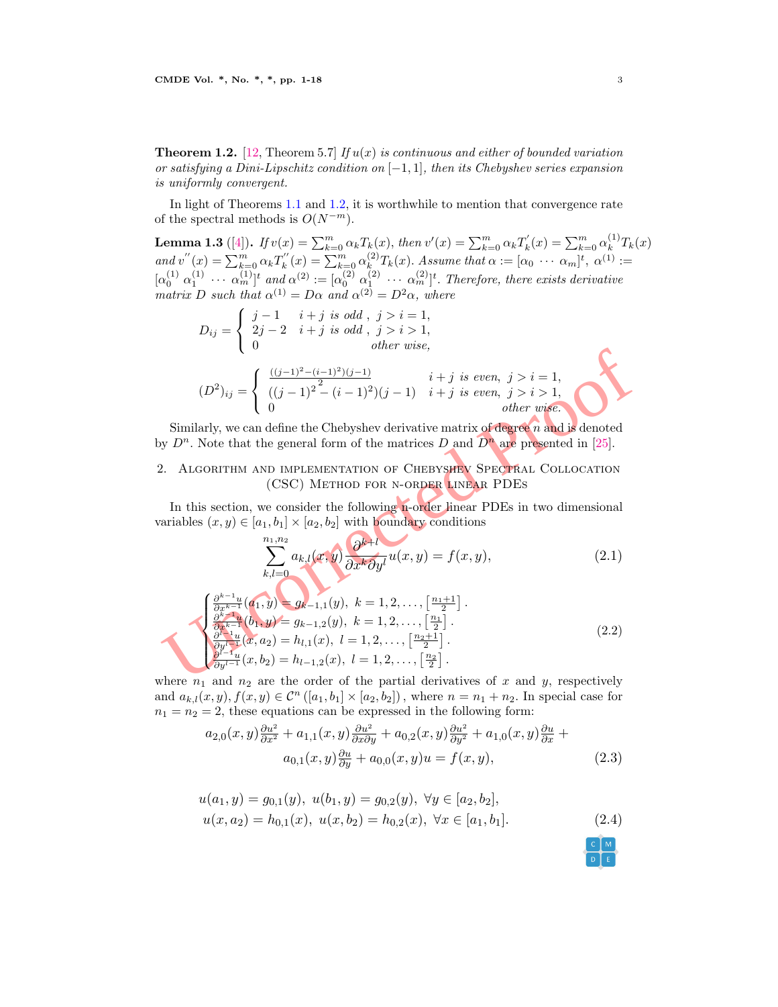<span id="page-2-0"></span>**Theorem 1.2.** [[12,](#page-16-16) Theorem 5.7] *If*  $u(x)$  *is continuous and either of bounded variation or satisfying a Dini-Lipschitz condition on*  $[-1, 1]$ *, then its Chebyshev series expansion is uniformly convergent.*

In light of Theorems [1.1](#page-1-0) and [1.2](#page-2-0), it is worthwhile to mention that convergence rate of the spectral methods is  $O(N^{-m})$ .

**Lemma 1.3** ([[4\]](#page-16-17)). If  $v(x) = \sum_{k=0}^{m} \alpha_k T_k(x)$ , then  $v'(x) = \sum_{k=0}^{m} \alpha_k T_{k}'(x) = \sum_{k=0}^{m} \alpha_k^{(1)}$  $T_k(x)$ *and*  $v''(x) = \sum_{k=0}^{m} \alpha_k T_k''(x) = \sum_{k=0}^{m} \alpha_k^{(2)}$  $f_k^{(2)}T_k(x)$ . Assume that  $\alpha := [\alpha_0 \cdots \alpha_m]^t$ ,  $\alpha^{(1)} :=$  $[\alpha_0^{(1)} \alpha_1^{(1)} \cdots \alpha_m^{(1)}]^t$  and  $\alpha^{(2)} := [\alpha_0^{(2)} \alpha_1^{(2)} \cdots \alpha_m^{(2)}]^t$ . Therefore, there exists derivative *matrix D such that*  $\alpha^{(1)} = D\alpha$  *and*  $\alpha^{(2)} = D^2\alpha$ *, where* 

$$
D_{ij} = \begin{cases} j-1 & i+j \text{ is odd, } j>i = 1, \\ 2j-2 & i+j \text{ is odd, } j>i > 1, \\ 0 & other \text{ wise,} \end{cases}
$$
  

$$
(D^2)_{ij} = \begin{cases} \frac{((j-1)^2 - (i-1)^2)(j-1)}{((j-1)^2 - (i-1)^2)(j-1)} & i+j \text{ is even, } j>i = 1, \\ 0 & other \text{ wise.} \end{cases}
$$

Similarly, we can define the Chebyshev derivative matrix of degree *n* and is denoted by  $D^n$ . Note that the general form of the matrices D and  $D^n$  are presented in [25].

### 2. Algorithm and implementation of Chebyshev Spectral Collocation (CSC) Method for n-order linear PDEs

In this section, we consider the following n-order linear PDEs in two dimensional variables  $(x, y) \in [a_1, b_1] \times [a_2, b_2]$  with boundary conditions

<span id="page-2-1"></span>
$$
\sum_{k,l=0}^{n_1,n_2} a_{k,l}(x,y) \frac{\partial^{k+l}}{\partial x^k \partial y^l} u(x,y) = f(x,y), \tag{2.1}
$$

$$
(D^2)_{ij} = \begin{cases} \frac{((j-1)^2 - (i-1)^2)(j-1)}{(j-1)^2} & i+j \text{ is even, } j>i = 1, \\ (j-1)^2 - (i-1)^2)(j-1) & i+j \text{ is even, } j>i > 1, \\ 0 & otherwise. \end{cases}
$$
  
\nSimilarly, we can define the Chebyshev derivative matrix of degree *n* and is denoted  
\nby *D<sup>n</sup>*. Note that the general form of the matrices *D* and *D<sup>n</sup>* are presented in [25].  
\n2. ALGORITHM AND IMPLEMENTATION OF CHEBYSHEV SPECTRAL COLLOCATION  
\n(CSC) METHOD FOR N-ORDER LINEAR PDEs  
\nIn this section, we consider the following **n**-order linear PDEs in two dimensional  
\nvariables  $(x, y) \in [a_1, b_1] \times [a_2, b_2]$  with boundary conditions  
\n
$$
\sum_{k,l=0}^{n_1, n_2} a_{k,l}(x, y) \frac{\partial^{k+l}}{\partial x^k \partial y^l} u(x, y) = f(x, y), \qquad (2.1)
$$
\n
$$
\begin{cases} \frac{\partial^{k-1}u}{\partial x^{k-1}}(a_1, y) = g_{k-1,1}(y), k = 1, 2, ..., \left[\frac{n_1+1}{2}\right]. \\ \frac{\partial^{k-1}u}{\partial x^{k-1}}(x, a_2) = h_{l,1}(x), l = 1, 2, ..., \left[\frac{n_2+1}{2}\right]. \\ \frac{\partial^{k+l}u}{\partial y^{l-1}}(x, a_2) = h_{l,1}(x), l = 1, 2, ..., \left[\frac{n_2+1}{2}\right]. \end{cases}
$$
\n(2.2)  
\nwhere *n*, and *n*, are the order of the partial derivatives of *x* and *y*, respectively

where  $n_1$  and  $n_2$  are the order of the partial derivatives of x and y, respectively and  $a_{k,l}(x, y), f(x, y) \in C^{n}([a_1, b_1] \times [a_2, b_2])$ , where  $n = n_1 + n_2$ . In special case for  $n_1 = n_2 = 2$ , these equations can be expressed in the following form:

<span id="page-2-3"></span>
$$
a_{2,0}(x,y)\frac{\partial u^2}{\partial x^2} + a_{1,1}(x,y)\frac{\partial u^2}{\partial x \partial y} + a_{0,2}(x,y)\frac{\partial u^2}{\partial y^2} + a_{1,0}(x,y)\frac{\partial u}{\partial x} + a_{0,1}(x,y)\frac{\partial u}{\partial y} + a_{0,0}(x,y)u = f(x,y),
$$
\n(2.3)

$$
u(a_1, y) = g_{0,1}(y), \ u(b_1, y) = g_{0,2}(y), \ \forall y \in [a_2, b_2],
$$
  

$$
u(x, a_2) = h_{0,1}(x), \ u(x, b_2) = h_{0,2}(x), \ \forall x \in [a_1, b_1].
$$
 (2.4)

<span id="page-2-4"></span><span id="page-2-2"></span>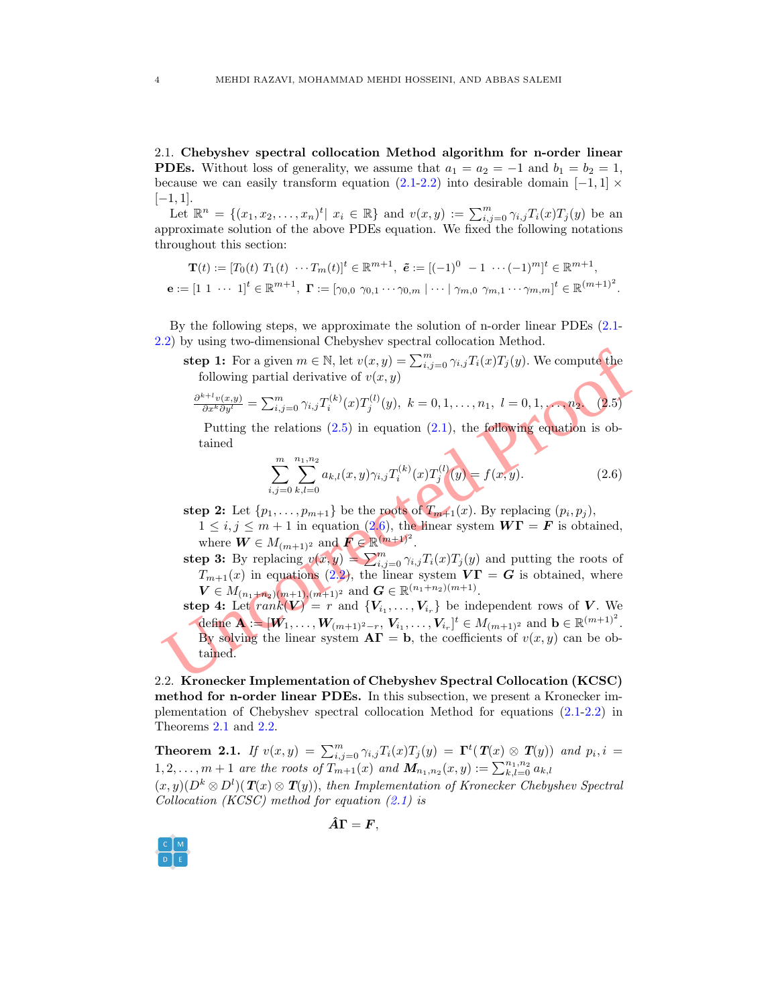2.1. **Chebyshev spectral collocation Method algorithm for n-order linear PDEs.** Without loss of generality, we assume that  $a_1 = a_2 = -1$  and  $b_1 = b_2 = 1$ , becausewe can easily transform equation  $(2.1-2.2)$  $(2.1-2.2)$  $(2.1-2.2)$  into desirable domain  $[-1,1] \times$ [ *−* 1 *,* 1].

Let  $\mathbb{R}^n = \{(x_1, x_2, \ldots, x_n)^t | x_i \in \mathbb{R}\}$  and  $v(x, y) := \sum_{i,j}^m$  $\sum_{i,j=0}^m \gamma_{i,j} T_i(x) T_j(y)$  be an approximate solution of the above PDEs equation. We fixed the following notations throughout this section:

$$
\mathbf{T}(t) := [T_0(t) \ T_1(t) \ \cdots T_m(t)]^t \in \mathbb{R}^{m+1}, \ \tilde{\mathbf{e}} := [(-1)^0 \ -1 \ \cdots (-1)^m]^t \in \mathbb{R}^{m+1},
$$

$$
\mathbf{e} := [1 \ 1 \ \cdots \ 1]^t \in \mathbb{R}^{m+1}, \ \mathbf{\Gamma} := [\gamma_{0,0} \ \gamma_{0,1} \ \cdots \ \gamma_{0,m}] \ \cdots \ |\ \gamma_{m,0} \ \gamma_{m,1} \ \cdots \ \gamma_{m,m}]^t \in \mathbb{R}^{(m+1)^2}.
$$

Bythe following steps, we approximate the solution of n-order linear PDEs  $(2.1$  $(2.1$ -[2.2](#page-2-2)) by using two-dimensional Chebyshev spectral collocation Method.

**step 1:** For a given  $m \in \mathbb{N}$ , let  $v(x, y) = \sum_{i,j=0}^{m} \gamma_{i,j} T_i(x) T_j(y)$ . We compute the following partial derivative of  $v(x, y)$ 

<span id="page-3-0"></span>
$$
\frac{\partial^{k+l}v(x,y)}{\partial x^k \partial y^l} = \sum_{i,j=0}^m \gamma_{i,j} T_i^{(k)}(x) T_j^{(l)}(y), \ k = 0, 1, \dots, n_1, \ l = 0, 1, \dots, n_2.
$$
 (2.5)

Putting the relations  $(2.5)$  in equation  $(2.1)$ , the following equation is obtained

<span id="page-3-1"></span>
$$
\sum_{i,j=0}^{m} \sum_{k,l=0}^{n_1, n_2} a_{k,l}(x, y) \gamma_{i,j} T_i^{(k)}(x) T_j^{(l)}(y) = f(x, y).
$$
 (2.6)

**step 2:** Let  $\{p_1, \ldots, p_{m+1}\}$  be the roots of  $T_{m+1}(x)$ . By replacing  $(p_i, p_j)$ ,  $1 \leq i, j \leq m+1$  in equation  $(2,6)$ , the linear system  $W\Gamma = F$  is obtained,

where  $\boldsymbol{W} \in M_{(m+1)^2}$  and  $\boldsymbol{F} \in \mathbb{R}^{(m+1)^2}$ . step 3: By replacing  $v(x, y) = \sum_{i=1}^{m}$ 

 $\int_{i,j=0}^{m} \gamma_{i,j} T_i(x) T_j(y)$  and putting the roots of  $T_{m+1}(x)$  in equations (2.2), the linear system  $V\Gamma = G$  is obtained, where  $V \in M_{(n_1+n_2)(m+1)}$ ,  $(m+1)^2$  and  $G \in \mathbb{R}^{(n_1+n_2)(m+1)}$ .

step 1: For a given  $m \in \mathbb{N}$ , let  $v(x, y) = \sum_{i,j=0}^{m} \gamma_{i,j} T_i(x) T_j(y)$ . We compute the<br>following partial derivative of  $v(x, y)$ <br> $\frac{\partial^{k+i} v(x,y)}{\partial x^k \partial y^l} = \sum_{i,j=0}^{m} \gamma_{i,j} T_i^{(k)}(x) T_j^{(l)}(y), k = 0, 1, ..., n, l = 0, 1, ..., n$ <br> $\frac{\partial^{k+i} v(x$ **step 4:** Let  $rank(V) = r$  and  $\{V_{i_1}, \ldots, V_{i_r}\}$  be independent rows of V. We define  $\mathbf{A} := [\mathbf{W}_1, \dots, \mathbf{W}_{(m+1)^2-r}, \mathbf{V}_{i_1}, \dots, \mathbf{V}_{i_r}]^t \in M_{(m+1)^2}$  and  $\mathbf{b} \in \mathbb{R}^{(m+1)^2}$ . By solving the linear system  $\mathbf{A}\mathbf{\Gamma} = \mathbf{b}$ , the coefficients of  $v(x, y)$  can be obtained.

2.2. **Kronecker Implementation of Chebyshev Spectral Collocation (KCSC) method for n-order linear PDEs.** In this subsection, we present a Kronecker implementation of Chebyshev spectral collocation Method for equations [\(2.1](#page-2-1)[-2.2](#page-2-2)) in Theorems [2.1](#page-3-2) and [2.2](#page-4-0) .

<span id="page-3-2"></span>**Theorem 2.1.** *If*  $v(x, y) = \sum_{i=1}^{m}$  $\int_{i,j=0}^{m} \gamma_{i,j} T_i(x) T_j(y) = \Gamma^t(T(x) \otimes T(y))$  and  $p_i, i =$  $1, 2, \ldots, m+1$  are the roots of  $T_{m+1}^{\sigma} (x)$  and  $M_{n_1,n_2} (x, y) := \sum_{k,l=0}^{n_1,n_2} a_{k,l}$ 

 $(x, y)(D<sup>k</sup> \otimes D<sup>l</sup>)(T(x) \otimes T(y))$ , then Implementation of Kronecker Chebyshev Spectral *Collocation (KCSC) method for equation ([2.1](#page-2-1)) is*



$$
\hat{A}\Gamma=F,
$$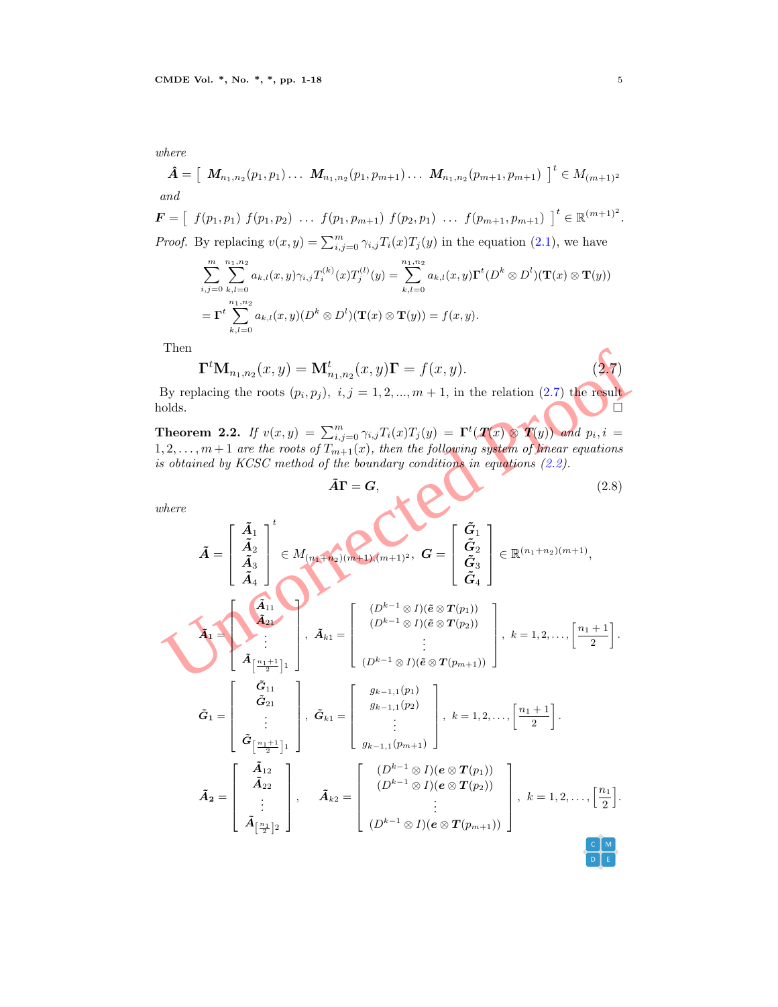*where*

$$
\hat{\mathbf{A}} = \left[ \begin{array}{ccc} \mathbf{M}_{n_1,n_2}(p_1,p_1) \ldots \mathbf{M}_{n_1,n_2}(p_1,p_{m+1}) \ldots \mathbf{M}_{n_1,n_2}(p_{m+1},p_{m+1}) \end{array} \right]^t \in M_{(m+1)^2}
$$
 and

 $\mathbf{F} = \begin{bmatrix} f(p_1, p_1) & f(p_1, p_2) & \dots & f(p_1, p_{m+1}) & f(p_2, p_1) & \dots & f(p_{m+1}, p_{m+1}) \end{bmatrix}^t \in \mathbb{R}^{(m+1)^2}.$ *Proof.* By replacing  $v(x, y) = \sum_{i=1}^{m}$  $\gamma_{i,j=0}^m \gamma_{i,j} T_i(x) T_j(y)$  in the equation [\(2.1\)](#page-2-1), we have

$$
\sum_{i,j=0}^{m} \sum_{k,l=0}^{n_1, n_2} a_{k,l}(x, y) \gamma_{i,j} T_i^{(k)}(x) T_j^{(l)}(y) = \sum_{k,l=0}^{n_1, n_2} a_{k,l}(x, y) \mathbf{\Gamma}^t(D^k \otimes D^l) (\mathbf{T}(x) \otimes \mathbf{T}(y))
$$
  
=  $\mathbf{\Gamma}^t \sum_{k,l=0}^{n_1, n_2} a_{k,l}(x, y) (D^k \otimes D^l) (\mathbf{T}(x) \otimes \mathbf{T}(y)) = f(x, y).$ 

Then

<span id="page-4-2"></span><span id="page-4-1"></span>
$$
\Gamma^{t} \mathbf{M}_{n_{1},n_{2}}(x,y) = \mathbf{M}_{n_{1},n_{2}}^{t}(x,y) \Gamma = f(x,y).
$$
 (2.7)

By replacing the roots  $(p_i, p_j)$ ,  $i, j = 1, 2, ..., m + 1$ , in the relation  $(2.7)$  the result holds. □

<span id="page-4-0"></span>**Theorem 2.2.** *If*  $v(x,y) = \sum_{i=1}^{m}$  $\int_{i,j=0}^m \gamma_{i,j} T_i(x) T_j(y) = \Gamma^t(\mathcal{I}(x) \otimes \mathcal{I}(y))$  and  $p_i, i =$  $1, 2, \ldots, m+1$  are the roots of  $T_{m+1}(x)$ , then the following system of linear equations *is obtained by KCSC method of the boundary conditions in equations (2.2).*

 $w$ *i* 

Then  
\n
$$
\Gamma^{t}\mathbf{M}_{n_{1},n_{2}}(x,y) = \mathbf{M}_{n_{1},n_{2}}^{t}(x,y)\Gamma = f(x,y).
$$
\nBy replacing the roots  $(p_{i},p_{j}), i, j = 1,2,...,m+1$ , in the relation (2.7) the results  
\nholds.  
\n**Theorem 2.2.** If  $v(x,y) = \sum_{i,j=0}^{m} \gamma_{i,j}T_{i}(x)T_{j}(y) = \Gamma^{t}(\mathbf{T}(x) \otimes \mathbf{T}(y))$  and  $p_{i}, i =$   
\n $\gamma_{1},...,m+1$  are the roots of  $T_{m+1}(x)$ , then the following system of linear equations  
\n*s* obtained by KCSC method of the boundary conditions in equations (2.2).  
\n
$$
\tilde{\mathbf{A}} = \begin{bmatrix} \tilde{A}_{1} \\ \tilde{A}_{2} \\ \tilde{A}_{3} \\ \tilde{A}_{4} \end{bmatrix}^{t} \in M_{(n_{1}+n_{2})(m+1)(m+1)^{2}}, \quad G = \begin{bmatrix} \tilde{G}_{1} \\ \tilde{G}_{2} \\ \tilde{G}_{3} \\ \tilde{G}_{4} \end{bmatrix} \in \mathbb{R}^{(n_{1}+n_{2})(m+1)},
$$
\n
$$
\tilde{\mathbf{A}} = \begin{bmatrix} \tilde{A}_{11} \\ \tilde{A}_{22} \\ \vdots \\ \tilde{A}_{\lfloor \frac{n_{1}+1}{2} \rfloor} \end{bmatrix}, \quad \tilde{\mathbf{A}}_{k1} = \begin{bmatrix} (D^{k-1} \otimes I)(\tilde{e} \otimes T(p_{1})) \\ (D^{k-1} \otimes I)(\tilde{e} \otimes T(p_{2})) \\ \vdots \\ (D^{k-1} \otimes I)(\tilde{e} \otimes T(p_{m+1})) \end{bmatrix}, k = 1,2,..., \left[\frac{n_{1}+1}{2}\right].
$$
\n
$$
\tilde{\mathbf{A}}_{1} = \begin{bmatrix} \tilde{G}_{11} \\ \tilde{G}_{21} \\ \vdots \\ \tilde{G}_{\lfloor \frac{n_{1}+1}{2} \rfloor 1} \end{bmatrix}, \quad \tilde{\mathbf{A}}_{k2} = \begin{bmatrix} g_{k-1,1}(p_{1}) \\ g_{
$$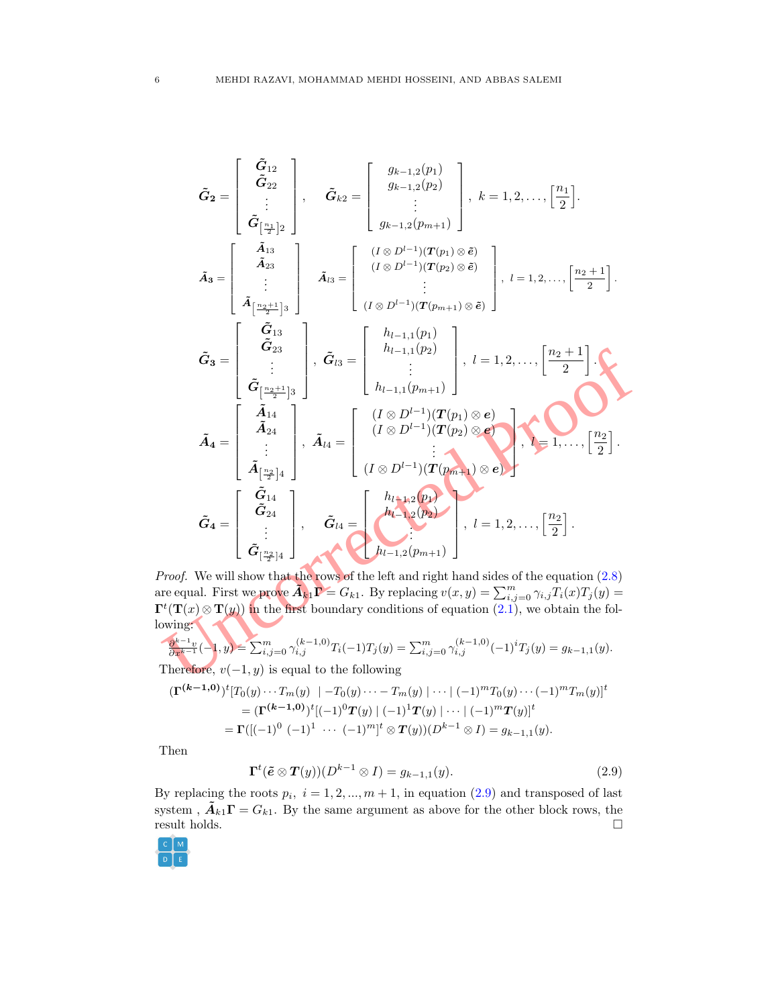$$
\tilde{G}_{2} = \begin{bmatrix}\n\tilde{G}_{12} \\
\tilde{G}_{22} \\
\vdots \\
\tilde{G}_{l\frac{n_{2}}{2}}\n\end{bmatrix}, \quad \tilde{G}_{k2} = \begin{bmatrix}\ng_{k-1,2}(p_{1}) \\
g_{k-1,2}(p_{2}) \\
\vdots \\
g_{k-1,2}(p_{m+1})\n\end{bmatrix}, k = 1, 2, ..., \begin{bmatrix} \frac{n_{1}}{2} \end{bmatrix}.
$$
\n
$$
\tilde{A}_{3} = \begin{bmatrix}\n\tilde{A}_{13} \\
\tilde{A}_{23} \\
\vdots \\
\tilde{A}_{l\frac{n_{2}+1}{2}}\n\end{bmatrix}, \quad \tilde{A}_{l3} = \begin{bmatrix}\n(I \otimes D^{l-1})(T(p_{1}) \otimes \tilde{e}) \\
(I \otimes D^{l-1})(T(p_{m+1}) \otimes \tilde{e}) \\
\vdots \\
(I \otimes D^{l-1})(T(p_{m+1}))\n\end{bmatrix}, l = 1, 2, ..., \begin{bmatrix} \frac{n_{2}+1}{2} \end{bmatrix}.
$$
\n
$$
\tilde{G}_{3} = \begin{bmatrix}\n\tilde{G}_{13} \\
\tilde{G}_{23} \\
\vdots \\
\tilde{G}_{l\frac{n_{2}+1}{2}}\n\end{bmatrix}, \quad \tilde{G}_{l3} = \begin{bmatrix}\nh_{l-1,1}(p_{1}) \\
h_{l-1,1}(p_{m+1}) \\
\vdots \\
\tilde{G}_{l-1,1}(p_{m+1})\n\end{bmatrix}, l = 1, 2, ..., \begin{bmatrix} \frac{n_{2}+1}{2} \end{bmatrix}.
$$
\n
$$
\tilde{A}_{4} = \begin{bmatrix}\n\tilde{A}_{14} \\
\tilde{A}_{24} \\
\vdots \\
\tilde{A}_{l\frac{n_{2}}{2}+1} \\
\vdots \\
\tilde{G}_{l\frac{n_{2}}{2}+1}\n\end{bmatrix}, \quad \tilde{G}_{l4} = \begin{bmatrix}\n(I \otimes D^{l-1})(T(p_{1}) \otimes e) \\
(I \otimes D^{l-1})(T(p_{m+1}) \otimes e) \\
\vdots \\
\tilde{G}_{l-1,2}(p_{m+1})\n\end{bmatrix}, l = 1, 2, ..., \begin{bmatrix
$$

*Proof.* We will show that the rows of the left and right hand sides of the equation (2.8 ) are equal. First we prove  $\tilde{A}_{k1} \Gamma = G_{k1}$ . By replacing  $v(x, y) = \sum_{i=1}^{m}$  $\sum_{i,j=0}^{m} \gamma_{i,j} T_i(x) T_j(y) =$  $\Gamma^t(\mathbf{T}(x) \otimes \mathbf{T}(y))$  in the first boundary conditions of equation  $(2.1)$ , we obtain the following:

$$
\frac{\partial^{k-1}v}{\partial x^{k-1}}(-1,y) = \sum_{i,j=0}^m \gamma_{i,j}^{(k-1,0)} T_i(-1)T_j(y) = \sum_{i,j=0}^m \gamma_{i,j}^{(k-1,0)} (-1)^i T_j(y) = g_{k-1,1}(y).
$$
  
Therefore,  $v(-1,y)$  is equal to the following

$$
(\mathbf{\Gamma}^{(k-1,0)})^t [T_0(y) \cdots T_m(y) \mid -T_0(y) \cdots - T_m(y) \mid \cdots \mid (-1)^m T_0(y) \cdots (-1)^m T_m(y)]^t
$$
  
= (\mathbf{\Gamma}^{(k-1,0)})^t [(-1)^0 T(y) \mid (-1)^1 T(y) \mid \cdots \mid (-1)^m T(y)]^t  
= \mathbf{\Gamma}([(-1)^0 (-1)^1 \cdots (-1)^m]^t \otimes T(y))(D^{k-1} \otimes I) = g\_{k-1,1}(y).

Then

<span id="page-5-0"></span>
$$
\Gamma^t(\tilde{e}\otimes T(y))(D^{k-1}\otimes I)=g_{k-1,1}(y).
$$
\n(2.9)

By replacing the roots  $p_i$ ,  $i = 1, 2, ..., m + 1$ , in equation  $(2.9)$  and transposed of last system,  $\tilde{A}_{k1}\Gamma = G_{k1}$ . By the same argument as above for the other block rows, the result holds. □

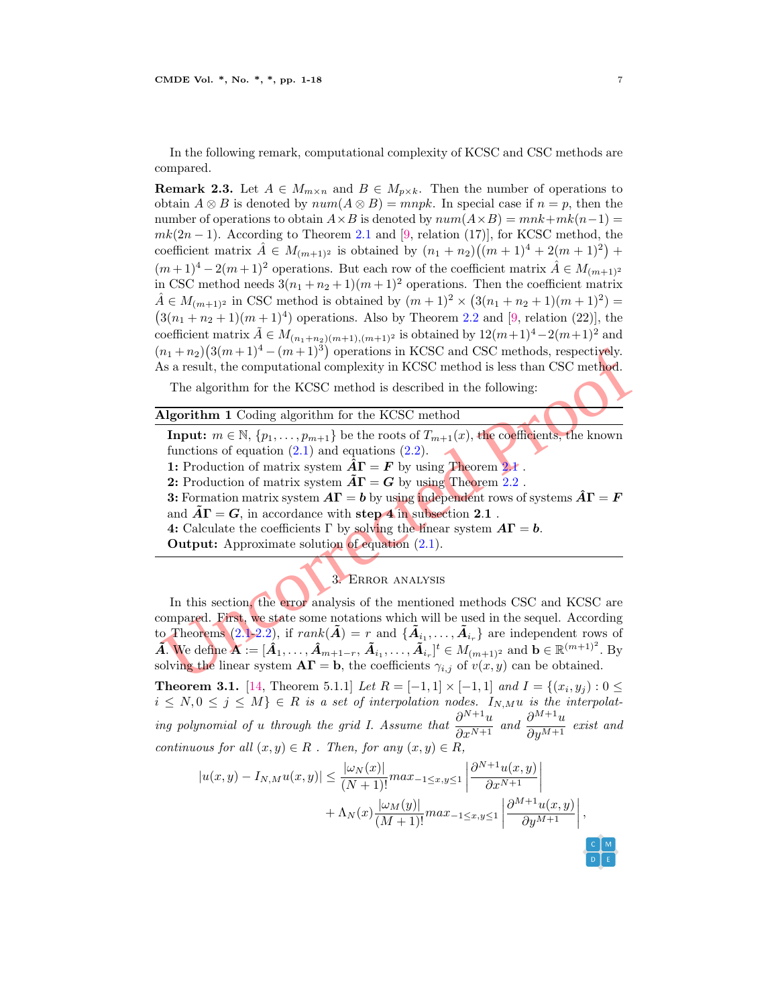In the following remark, computational complexity of KCSC and CSC methods are compared.

**Remark 2.3.** Let  $A \in M_{m \times n}$  and  $B \in M_{p \times k}$ . Then the number of operations to obtain  $A \otimes B$  is denoted by  $num(A \otimes B) = mnpk$ . In special case if  $n = p$ , then the number of operations to obtain  $A \times B$  is denoted by  $num(A \times B) = mnk + mk(n-1) =$  $mk(2n-1)$ . According to Theorem [2.1](#page-3-2) and [[9,](#page-16-7) relation (17)], for KCSC method, the coefficient matrix  $\hat{A} \in M_{(m+1)^2}$  is obtained by  $(n_1 + n_2)((m + 1)^4 + 2(m + 1)^2) +$  $(m+1)<sup>4</sup> − 2(m+1)<sup>2</sup>$  operations. But each row of the coefficient matrix  $\hat{A} \in M_{(m+1)<sup>2</sup>}$ in CSC method needs  $3(n_1 + n_2 + 1)(m + 1)^2$  operations. Then the coefficient matrix  $\hat{A} \in M_{(m+1)^2}$  in CSC method is obtained by  $(m+1)^2 \times (3(n_1+n_2+1)(m+1)^2) =$  $(3(n_1 + n_2 + 1)(m + 1)^4)$  operations. Also by Theorem [2.2](#page-4-0) and [[9](#page-16-7), relation (22)], the coefficient matrix  $\tilde{A} \in M_{(n_1+n_2)(m+1),(m+1)^2}$  is obtained by  $12(m+1)^4 - 2(m+1)^2$  and  $(n_1+n_2)(3(m+1)^4-(m+1)^3)$  operations in KCSC and CSC methods, respectively. As a result, the computational complexity in KCSC method is less than CSC method.

The algorithm for the KCSC method is described in the following:

#### **Algorithm 1** Coding algorithm for the KCSC method

**Input:**  $m \in \mathbb{N}, \{p_1, \ldots, p_{m+1}\}$  be the roots of  $T_{m+1}(x)$ , the coefficients, the known functions of equation  $(2.1)$  and equations  $(2.2)$ .

**1:** Production of matrix system  $\hat{A}\Gamma = F$  by using Theorem 2.1.

**2:** Production of matrix system  $\tilde{A}\Gamma = G$  by using Theorem 2.2.

**3:** Formation matrix system  $A\Gamma = b$  by using independent rows of systems  $\hat{A}\Gamma = F$ and  $\tilde{A}\Gamma = G$ , in accordance with **step 4** in subsection 2.1.

**4:** Calculate the coefficients  $\Gamma$  by solving the linear system  $A\Gamma = b$ .

**Output:** Approximate solution of equation  $(2.1)$ .

## 3. Error analysis

 $\label{eq:4.1} \begin{array}{l} \hbox{$n_1+n_2$} \ (3(m+1)^4-(m+1)^3)$ operations in KCSC and CSC methods, respectively. \\ \hbox{is a result, the computational complexity in KCSC method is less than CSC method. \\ \hbox{The algorithm for the KCSC method is described in the following: \\ \hbox{Algorithm 1 Coding algorithm for the KCSC method is described in the following: \\ \hbox{Equation 1: } \mathbb{Q} \text{dual of } \mathbb{Q} \text{dual of } \mathbb{Q} \text{dual of } \mathbb{Q} \text{dual of } \mathbb{Q} \text{dual of } \mathbb{Q} \text{dual of } \mathbb{Q} \text{dual of }$  $\label{eq:4.1} \begin{array}{l} \hbox{$n_1+n_2$} \ (3(m+1)^4-(m+1)^3)$ operations in KCSC and CSC methods, respectively. \\ \hbox{is a result, the computational complexity in KCSC method is less than CSC method. \\ \hbox{The algorithm for the KCSC method is described in the following: \\ \hbox{Algorithm 1 Coding algorithm for the KCSC method is described in the following: \\ \hbox{Equation 1: } \mathbb{Q} \text{dual of } \mathbb{Q} \text{dual of } \mathbb{Q} \text{dual of } \mathbb{Q} \text{dual of } \mathbb{Q} \text{dual of } \mathbb{Q} \text{dual of } \mathbb{Q} \text{dual of }$  $\label{eq:4.1} \begin{array}{l} \hbox{$n_1+n_2$} \ (3(m+1)^4-(m+1)^3)$ operations in KCSC and CSC methods, respectively. \\ \hbox{is a result, the computational complexity in KCSC method is less than CSC method. \\ \hbox{The algorithm for the KCSC method is described in the following: \\ \hbox{Algorithm 1 Coding algorithm for the KCSC method is described in the following: \\ \hbox{Equation 1: } \mathbb{Q} \text{dual of } \mathbb{Q} \text{dual of } \mathbb{Q} \text{dual of } \mathbb{Q} \text{dual of } \mathbb{Q} \text{dual of } \mathbb{Q} \text{dual of } \mathbb{Q} \text{dual of }$  $\label{eq:4.1} \begin{array}{l} \hbox{$n_1+n_2$} \ (3(m+1)^4-(m+1)^3)$ operations in KCSC and CSC methods, respectively. \\ \hbox{is a result, the computational complexity in KCSC method is less than CSC method. \\ \hbox{The algorithm for the KCSC method is described in the following: \\ \hbox{Algorithm 1 Coding algorithm for the KCSC method is described in the following: \\ \hbox{Equation 1: } \mathbb{Q} \text{dual of } \mathbb{Q} \text{dual of } \mathbb{Q} \text{dual of } \mathbb{Q} \text{dual of } \mathbb{Q} \text{dual of } \mathbb{Q} \text{dual of } \mathbb{Q} \text{dual of }$  $\label{eq:4.1} \begin{array}{l} \hbox{$n_1+n_2$} \ (3(m+1)^4-(m+1)^3)$ operations in KCSC and CSC methods, respectively. \\ \hbox{is a result, the computational complexity in KCSC method is less than CSC method. \\ \hbox{The algorithm for the KCSC method is described in the following: \\ \hbox{Algorithm 1 Coding algorithm for the KCSC method is described in the following: \\ \hbox{Equation 1: } \mathbb{Q} \text{dual of } \mathbb{Q} \text{dual of } \mathbb{Q} \text{dual of } \mathbb{Q} \text{dual of } \mathbb{Q} \text{dual of } \mathbb{Q} \text{dual of } \mathbb{Q} \text{dual of }$ In this section, the error analysis of the mentioned methods CSC and KCSC are compared. First, we state some notations which will be used in the sequel. According to Theorems  $(2.1-2.2)$ , if  $rank(\tilde{A}) = r$  and  $\{\tilde{A}_{i_1}, \ldots, \tilde{A}_{i_r}\}$  are independent rows of  $\tilde{\mathbf{A}}$ . We define  $\mathbf{A} := [\tilde{\mathbf{A}}_1, \dots, \tilde{\mathbf{A}}_{m+1-r}, \tilde{\mathbf{A}}_{i_1}, \dots, \tilde{\mathbf{A}}_{i_r}]^t \in M_{(m+1)^2}$  and  $\mathbf{b} \in \mathbb{R}^{(m+1)^2}$ . By solving the linear system  $\mathbf{A}\mathbf{\Gamma} = \mathbf{b}$ , the coefficients  $\gamma_{i,j}$  of  $v(x, y)$  can be obtained.

<span id="page-6-0"></span>**Theorem 3.1.** [\[14](#page-16-18), Theorem 5.1.1] *Let*  $R = [-1, 1] \times [-1, 1]$  and  $I = \{(x_i, y_j) : 0 \leq j \leq n\}$  $i \leq N, 0 \leq j \leq M$   $\in$  *R is a set of interpolation nodes.*  $I_{N,M}u$  *is the interpolating polynomial of u through the grid I. Assume that*  $\frac{\partial^{N+1}u}{\partial x^{N+1}}$  *and*  $\frac{\partial^{M+1}u}{\partial y^{M+1}}$ *∂y <sup>M</sup>*+1 *exist and continuous for all*  $(x, y) \in R$ . Then, for any  $(x, y) \in R$ ,

$$
|u(x,y) - I_{N,M}u(x,y)| \leq \frac{|\omega_N(x)|}{(N+1)!} max_{-1 \leq x,y \leq 1} \left| \frac{\partial^{N+1} u(x,y)}{\partial x^{N+1}} \right|
$$
  
+ 
$$
\Lambda_N(x) \frac{|\omega_M(y)|}{(M+1)!} max_{-1 \leq x,y \leq 1} \left| \frac{\partial^{M+1} u(x,y)}{\partial y^{M+1}} \right|,
$$

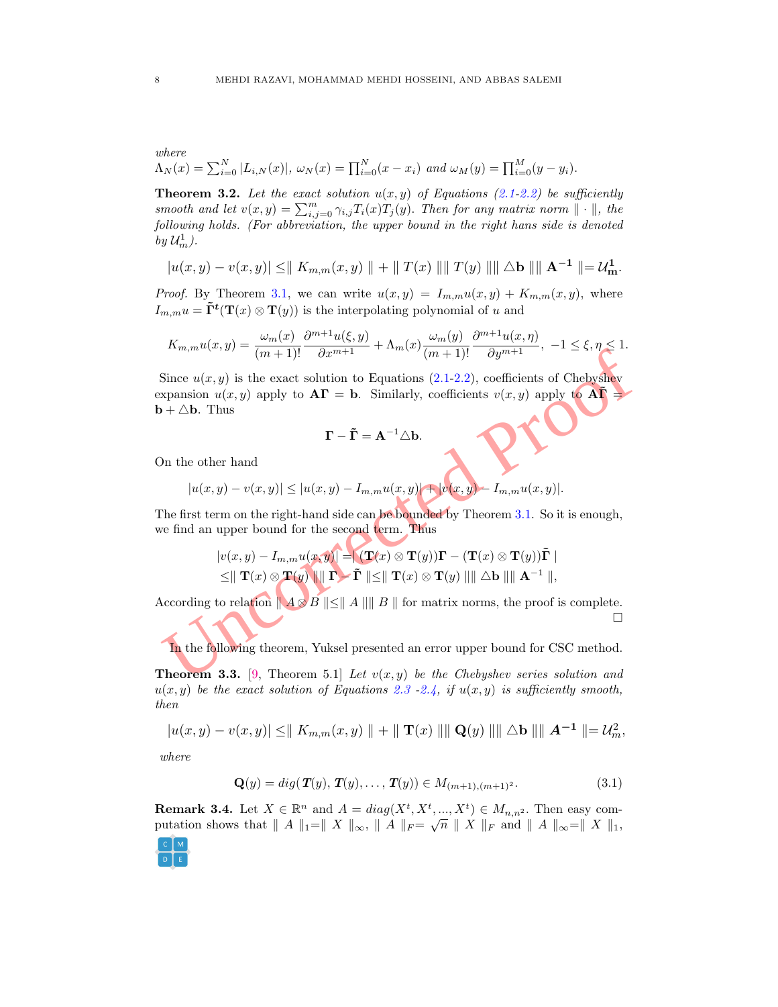where  
\n
$$
\Lambda_N(x) = \sum_{i=0}^N |L_{i,N}(x)|, \ \omega_N(x) = \prod_{i=0}^N (x - x_i) \ \text{ and } \omega_M(y) = \prod_{i=0}^M (y - y_i).
$$

<span id="page-7-0"></span>**Theorem 3.2.** Let the exact solution  $u(x, y)$  of Equations [\(2.1](#page-2-1)-[2.2](#page-2-2)) be sufficiently *smooth and let*  $v(x, y) = \sum_{i,j=0}^{m} \gamma_{i,j} T_i(x) T_j(y)$ *. Then for any matrix norm*  $\|\cdot\|$ *, the following holds. (For abbreviation, the upper bound in the right hans side is denoted by*  $\mathcal{U}_m^1$ .

$$
|u(x,y) - v(x,y)| \le ||K_{m,m}(x,y)|| + ||T(x)|| ||T(y)|| || \Delta b || ||A^{-1}|| = \mathcal{U}^1_m.
$$

*Proof.* By Theorem [3.1](#page-6-0), we can write  $u(x,y) = I_{m,m}u(x,y) + K_{m,m}(x,y)$ , where  $I_{m,m}u = \tilde{\mathbf{\Gamma}}^{\mathbf{t}}(\mathbf{T}(x) \otimes \mathbf{T}(y))$  is the interpolating polynomial of *u* and

$$
K_{m,m}u(x,y) = \frac{\omega_m(x)}{(m+1)!} \frac{\partial^{m+1} u(\xi, y)}{\partial x^{m+1}} + \Lambda_m(x) \frac{\omega_m(y)}{(m+1)!} \frac{\partial^{m+1} u(x, \eta)}{\partial y^{m+1}}, \ -1 \le \xi, \eta \le 1.
$$

 $\begin{aligned} &\mathbf{P}(\mathbf{x},\mathbf{y}) = (m+1)! \quad \partial x^{m+1} \quad \mathbf{P}(\mathbf{x},\mathbf{y}) = (m+1)! \quad \partial y^{m+1} \quad \mathbf{P}(\mathbf{x},\mathbf{y}) = \mathbf{P}(\mathbf{x},\mathbf{y}) \text{ and } \mathbf{P}(\mathbf{x},\mathbf{y}) = \mathbf{P}(\mathbf{x},\mathbf{y}) \text{ and } \mathbf{P}(\mathbf{x},\mathbf{y}) = \mathbf{P}(\mathbf{x},\mathbf{y}) = \mathbf{P}(\mathbf{x},\mathbf{y}) \text{ and } \mathbf{P}$ Since  $u(x, y)$  is the exact solution to Equations  $(2.1-2.2)$ , coefficients of Chebyshev expansion  $u(x, y)$  apply to  $\mathbf{A}\mathbf{\Gamma} = \mathbf{b}$ . Similarly, coefficients  $v(x, y)$  apply to  $\mathbf{A}\tilde{\mathbf{\Gamma}} =$  $\mathbf{b} + \Delta \mathbf{b}$ . Thus

$$
\mathbf{\Gamma}-\tilde{\mathbf{\Gamma}}=\mathbf{A}^{-1}\triangle\mathbf{b}.
$$

On the other hand

$$
|u(x,y) - v(x,y)| \le |u(x,y) - I_{m,m}u(x,y)| + |v(x,y) - I_{m,m}u(x,y)|.
$$

The first term on the right-hand side can be bounded by Theorem 3.1. So it is enough, we find an upper bound for the second term. Thus

$$
|v(x,y) - I_{m,m}u(x,y)| = | (\mathbf{T}(x) \otimes \mathbf{T}(y))\mathbf{\Gamma} - (\mathbf{T}(x) \otimes \mathbf{T}(y))\tilde{\mathbf{\Gamma}} |
$$
  
\n
$$
\leq || \mathbf{T}(x) \otimes \mathbf{T}(y) || || \mathbf{\Gamma} - \tilde{\mathbf{\Gamma}} || \leq || \mathbf{T}(x) \otimes \mathbf{T}(y) || || \Delta \mathbf{b} || || \mathbf{A}^{-1} ||,
$$

According to relation  $||A \otimes B|| \le ||A|| ||B||$  for matrix norms, the proof is complete. □

In the following theorem, Yuksel presented an error upper bound for CSC method.

<span id="page-7-1"></span>**Theorem 3.3.** [9, Theorem 5.1] Let  $v(x, y)$  be the Chebyshev series solution and  $u(x, y)$  be the exact solution of Equations [2.3](#page-2-3) [-2.4,](#page-2-4) if  $u(x, y)$  is sufficiently smooth, *then*

$$
|u(x,y) - v(x,y)| \le ||K_{m,m}(x,y)|| + ||\mathbf{T}(x)|| ||\mathbf{Q}(y)|| ||\Delta \mathbf{b} || ||\mathbf{A}^{-1} || = \mathcal{U}_m^2,
$$

*where*

$$
\mathbf{Q}(y) = \text{dig}(\mathbf{T}(y), \mathbf{T}(y), \dots, \mathbf{T}(y)) \in M_{(m+1),(m+1)^2}.
$$
\n(3.1)

<span id="page-7-2"></span>**Remark 3.4.** Let  $X \in \mathbb{R}^n$  and  $A = diag(X^t, X^t, ..., X^t) \in M_{n,n^2}$ . Then easy computation shows that  $||A||_1=||X||_{\infty}$ ,  $||A||_F= \sqrt{n}||X||_F$  and  $||A||_{\infty}=||X||_1$ ,

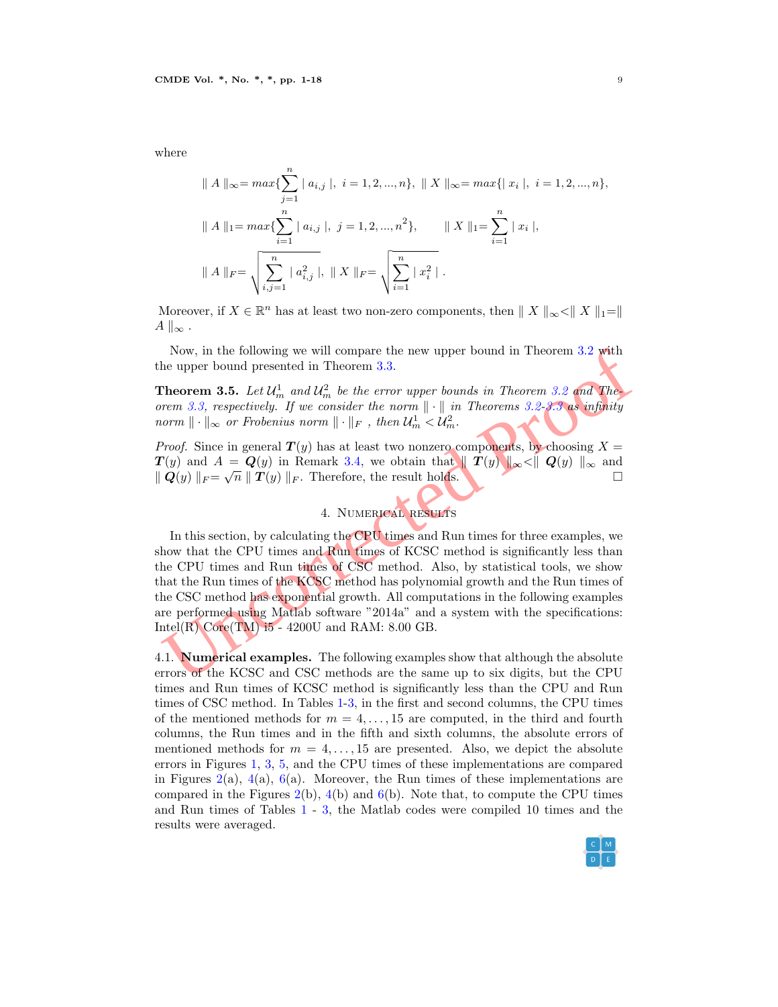*∥ A ∥ ∞* = *max {*  $\sum_{j=1}^{n} |a_{i,j}|, i = 1$ *,* 2*, ..., n } , ∥ X ∥ ∞* = *max{| x <sup>i</sup> |, i* = 1 *,* 2*, ..., n } ,*  $\parallel$  *A*  $\parallel$ <sub>1</sub> = *max*{  $\sum_{i=1}^{n} |a_{i,j}|, j = 1$ *,* 2*, ..., n*<sup>2</sup>**}**, *∥ X ∥*<sub>1</sub>=  $\sum_{i=1}^n |x|$ *<sup>i</sup> |,*  $\parallel$  *A*  $\parallel$ <sub>*F*</sub> =  $\sqrt{\sum_{n=1}^{n}}$  $\sum_{i,j=1}^n |a_{i,j}^2|, \|X\|_F = \sqrt{\sum_{i=1}^n |x_i|^2}$  $\frac{2}{i}$  | .

Moreover, if  $X \in \mathbb{R}^n$  has at least two non-zero components, then  $|| X ||_{\infty} < || X ||_{1} = ||$  $A \parallel_{\infty}$ .

Now, in the following we will compare the new upper bound in Theorem 3.2 with the upper bound presented in Theorem 3.3 .

**Theorem 3.5.** Let  $\mathcal{U}_m^1$  and  $\mathcal{U}_m^2$  be the error upper bounds in Theorem 3.2 and The*orem 3.3, respectively. If we consider the norm ∥ · ∥ in Theorems 3.2-3.3 as infinity norm*  $\|\cdot\|_{\infty}$  *or Frobenius norm*  $\|\cdot\|_{F}$  *, then*  $\mathcal{U}_{m}^{1} < \mathcal{U}_{m}^{2}$ *.* 

*Proof.* Since in general  $T(y)$  has at least two nonzero components, by choosing  $X =$  $T(y)$  and  $A = Q(y)$  in Remark 3.4, we obtain that  $||T(y)||_{\infty} < ||Q(y)||_{\infty}$  and  $||T(y)||_{\infty} < ||Q(y)||_{\infty}$  $\|$  *Q*(*y*)  $\|$ <sub>*F*</sub> =  $\sqrt{n}$   $\|$  *T*(*y*)  $\|$ <sub>*F*</sub>. Therefore, the result holds. □

# 4. Numerical results

N[o](#page-7-1)w, in the [f](#page-7-0)ollowing we will compare the new upper bound in Theorem 3.2 with<br>
the upper bound presented in Theorem 3.3.<br>
Theorem 3.5. Let  $U_n$  and  $U_m^2$  be the error upper bounds in Theorem 3.2 and Theorem 3.7, respecti In this section, by calculating the CPU times and Run times for three examples, we show that the CPU times and Run times of KCSC method is significantly less than the CPU times and Run times of CSC method. Also, by statistical tools, we show that the Run times of the KCSC method has polynomial growth and the Run times of the CSC method has exponential growth. All computations in the following examples are performed using Matlab software "2014a" and a system with the specifications: Intel $(R)$  Core $(TM)$  i5 - 4200U and RAM: 8.00 GB.

4.1. **Numerical examples.** The following examples show that although the absolute errors of the KCSC and CSC methods are the same up to six digits, but the CPU times and Run times of KCSC method is significantly less than the CPU and Run times of CSC method. In Tables [1](#page-9-0) - [3,](#page-12-0) in the first and second columns, the CPU times of the mentioned methods for  $m = 4, \ldots, 15$  are computed, in the third and fourth columns, the Run times and in the fifth and sixth columns, the absolute errors of mentioned methods for  $m = 4, \ldots, 15$  are presented. Also, we depict the absolute errors in Figures [1](#page-9-1) , [3](#page-11-0) , [5,](#page-12-1) and the CPU times of these implementations are compared in Figures [2](#page-10-0)(a),  $4(a)$  $4(a)$ ,  $6(a)$  $6(a)$ . Moreover, the Run times of these implementations are compared in the Figures  $2(b)$  $2(b)$ ,  $4(b)$  $4(b)$  and  $6(b)$  $6(b)$ . Note that, to compute the CPU times and Run times of Tables [1](#page-9-0) - [3,](#page-12-0) the Matlab codes were compiled 10 times and the results were averaged.



where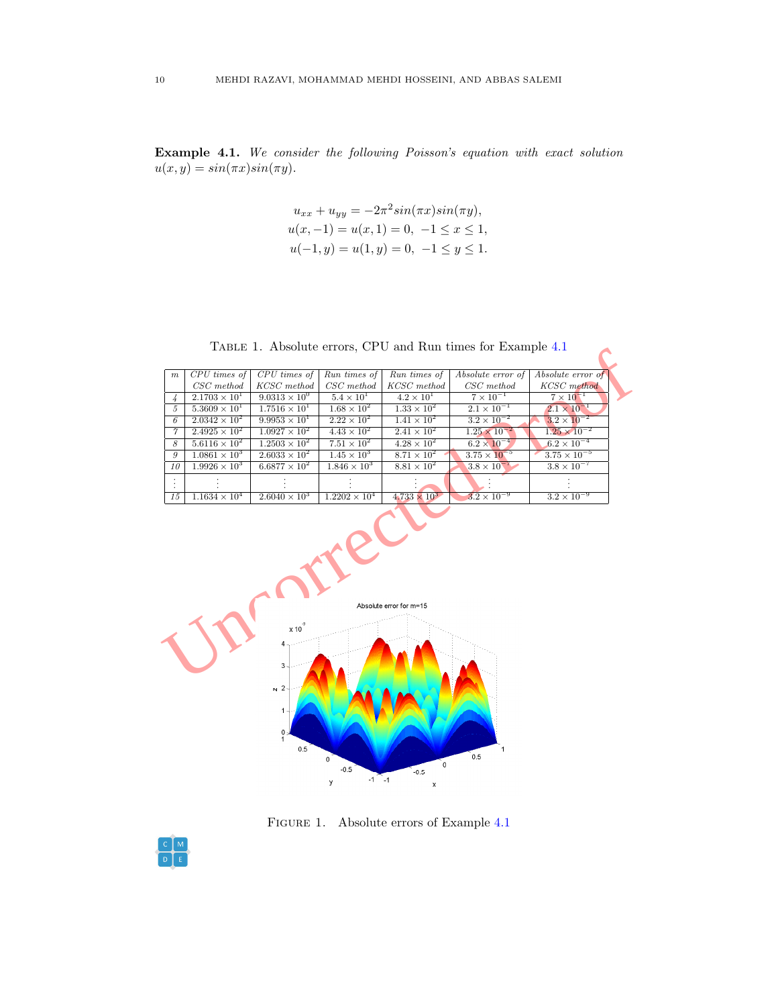<span id="page-9-2"></span>**Example 4.1.** *We consider the following Poisson's equation with exact solution*  $u(x, y) = sin(\pi x)sin(\pi y)$ .

$$
u_{xx} + u_{yy} = -2\pi^2 \sin(\pi x) \sin(\pi y),
$$
  
\n
$$
u(x, -1) = u(x, 1) = 0, -1 \le x \le 1,
$$
  
\n
$$
u(-1, y) = u(1, y) = 0, -1 \le y \le 1.
$$

<span id="page-9-0"></span>

| TABLE 1. Absolute errors, CPU and Run times for Example 4.1 |  |  |
|-------------------------------------------------------------|--|--|
|-------------------------------------------------------------|--|--|

|                         |                        |                        |                        |                      | TABLE 1. ADSOLUTE ELLOLS, $\cup$ U and IT and THES TOL EXAMPLE 4.1 |                       |  |
|-------------------------|------------------------|------------------------|------------------------|----------------------|--------------------------------------------------------------------|-----------------------|--|
| $\,m$                   | CPU times of           | CPU times of           | Run times of           | Run times of         | Absolute error of                                                  | Absolute error of     |  |
|                         | $CSC$ method           | KCSC method            | $CSC$ method           | KCSC method          | $CSC$ method                                                       | <b>KCSC</b> method    |  |
| $\frac{1}{4}$           | $2.1703 \times 10^{1}$ | $9.0313 \times 10^{0}$ | $5.4 \times 10^{1}$    | $4.2 \times 10^{1}$  | $7 \times 10^{-1}$                                                 | $7\times10^{-1}$      |  |
| $\sqrt{5}$              | $5.3609 \times 10^{1}$ | $1.7516 \times 10^{1}$ | $1.68 \times 10^{2}$   | $1.33 \times 10^{2}$ | $2.1 \times 10^{-1}$                                               | $2.1 \times 10^{-1}$  |  |
| 6                       | $2.0342 \times 10^{2}$ | $9.9953 \times 10^{1}$ | $2.22 \times 10^{2}$   | $1.41 \times 10^{2}$ | $3.2 \times 10^{-2}$                                               | $3.2 \times 10^{-2}$  |  |
| $\overline{\gamma}$     | $2.4925 \times 10^{2}$ | $1.0927 \times 10^{2}$ | $4.43 \times 10^{2}$   | $2.41 \times 10^{2}$ | $1.25\times10^{-2}$                                                | $1.25 \times 10^{-2}$ |  |
| 8                       | $5.6116 \times 10^{2}$ | $1.2503 \times 10^{2}$ | $7.51 \times 10^{2}$   | $4.28 \times 10^{2}$ | $6.2 \times 10^{-4}$                                               | $6.2 \times 10^{-4}$  |  |
| $\boldsymbol{g}$        | $1.0861 \times 10^{3}$ | $2.6033 \times 10^{2}$ | $1.45 \times 10^{3}$   | $8.71 \times 10^{2}$ | $3.75 \times 10^{-5}$                                              | $3.75 \times 10^{-5}$ |  |
| 10                      | $1.9926 \times 10^3$   | $6.6877 \times 10^{2}$ | $1.846 \times 10^{3}$  | $8.81 \times 10^{2}$ | $3.8 \times 10^{-7}$                                               | $3.8 \times 10^{-7}$  |  |
|                         |                        |                        |                        |                      |                                                                    |                       |  |
| 15                      | $1.1634 \times 10^{4}$ | $2.6040 \times 10^3$   | $1.2202 \times 10^{4}$ | $4.733 \times 10^3$  | $3.2 \times 10^{-9}$                                               | $3.2 \times 10^{-9}$  |  |
| Absolute error for m=15 |                        |                        |                        |                      |                                                                    |                       |  |
| $x 10^{3}$              |                        |                        |                        |                      |                                                                    |                       |  |
|                         |                        | 3                      |                        |                      |                                                                    |                       |  |



<span id="page-9-1"></span>FIGURE 1. Absolute errors of Example [4.1](#page-9-2)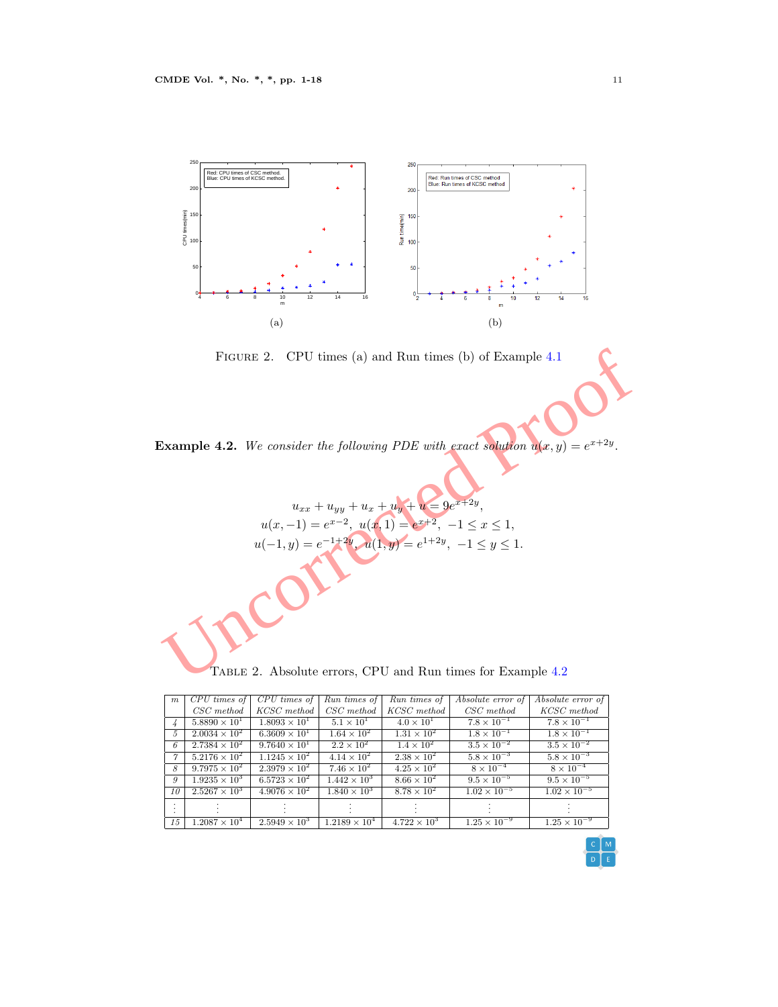

<span id="page-10-0"></span>Figure 2. CPU times (a) and Run times (b) of Example 4.1

<span id="page-10-1"></span>**Example 4.2.** We consider the following PDE with exact solution  $u(x, y) = e^{x+2y}$ .

FIGURE 2. CPU times (a) and Run times (b) of Example 4.1  
\nExample 4.2. We consider the following PDE with exact solution 
$$
u(x, y) = e^{x+2y}
$$
.  
\n
$$
u_{xx} + u_{yy} + u_x + u_y + e^{2y} = e^{x+2y}
$$
\n
$$
u(x, -1) = e^{x-2}, u(x, 1) = e^{x+2}, -1 \le x \le 1,
$$
\n
$$
u(-1, y) = e^{-1+2y}, u(1, y) = e^{1+2y}, -1 \le y \le 1.
$$
\nTable 2. Absolute errors, CPU and Run times for Example 4.2

Table 2. Absolute errors, CPU and Run times for Example 4.2

| m               | CPU times of           | CPU times of           | Run times of           | Run times of          | Absolute error of     | Absolute error of     |
|-----------------|------------------------|------------------------|------------------------|-----------------------|-----------------------|-----------------------|
|                 | $CSC$ method           | KCSC method            | $CSC$ method           | KCSC method           | $CSC$ method          | KCSC method           |
|                 | $5.8890 \times 10^{1}$ | $1.8093 \times 10^{1}$ | $5.1 \times 10^{1}$    | $4.0 \times 10^{1}$   | $7.8 \times 10^{-1}$  | $7.8 \times 10^{-1}$  |
| 5               | $2.0034 \times 10^{2}$ | $6.3609 \times 10^{1}$ | $1.64 \times 10^{2}$   | $1.31 \times 10^{2}$  | $1.8 \times 10^{-1}$  | $1.8 \times 10^{-1}$  |
| 6               | $2.7384 \times 10^{2}$ | $9.7640 \times 10^{1}$ | $2.2 \times 10^2$      | $1.4 \times 10^{2}$   | $3.5 \times 10^{-2}$  | $3.5 \times 10^{-2}$  |
| $\gamma$        | $5.2176 \times 10^{2}$ | $1.1245 \times 10^{2}$ | $4.14 \times 10^{2}$   | $2.38 \times 10^{2}$  | $5.8 \times 10^{-3}$  | $5.8 \times 10^{-3}$  |
| 8               | $9.7975 \times 10^{2}$ | $2.3979 \times 10^{2}$ | $7.46 \times 10^{2}$   | $4.25 \times 10^{2}$  | $8\times10^{-4}$      | $8 \times 10^{-4}$    |
| 9               | $1.9235 \times 10^{3}$ | $6.5723 \times 10^{2}$ | $1.442 \times 10^{3}$  | $8.66 \times 10^{2}$  | $9.5 \times 10^{-5}$  | $9.5 \times 10^{-5}$  |
| 10 <sup>2</sup> | $2.5267 \times 10^{3}$ | $4.9076 \times 10^{2}$ | $1.840 \times 10^{3}$  | $8.78 \times 10^{2}$  | $1.02 \times 10^{-5}$ | $1.02 \times 10^{-5}$ |
|                 |                        |                        |                        |                       |                       |                       |
|                 |                        |                        |                        |                       |                       |                       |
| 15              | $1.2087 \times 10^{4}$ | $2.5949 \times 10^3$   | $1.2189 \times 10^{4}$ | $4.722 \times 10^{3}$ | $1.25 \times 10^{-9}$ | $1.25 \times 10^{-9}$ |

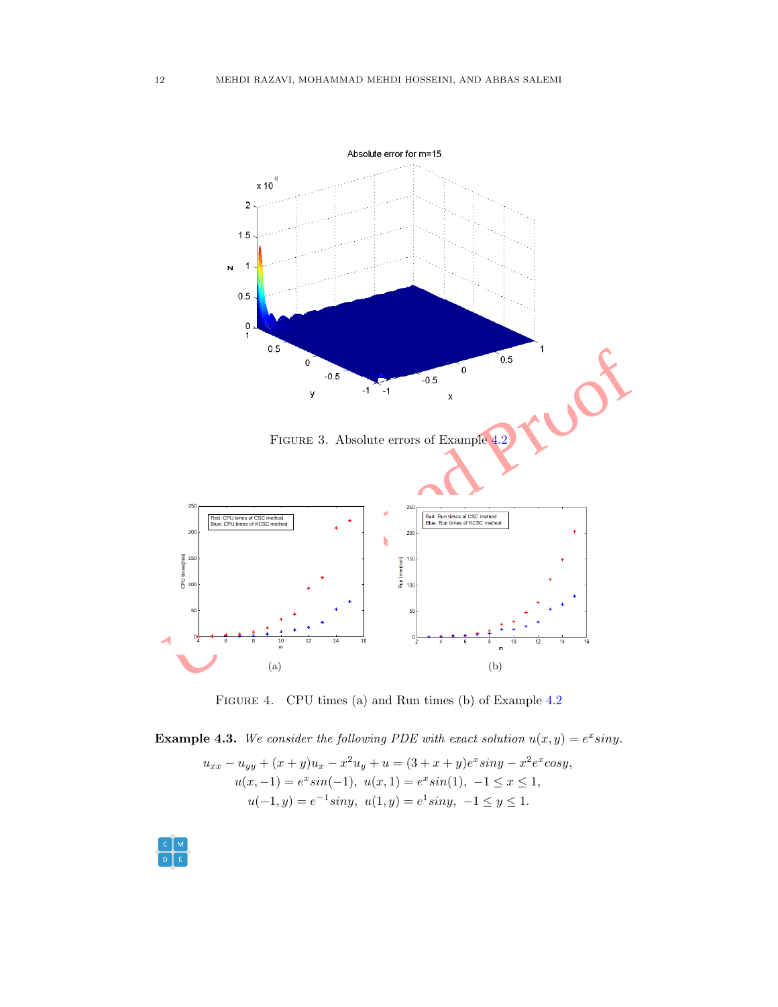

<span id="page-11-1"></span><span id="page-11-0"></span>Figure 4. CPU times (a) and Run times (b) of Example [4.2](#page-10-1)

<span id="page-11-2"></span>**Example 4.3.** We consider the following PDE with exact solution  $u(x, y) = e^x \sin y$ .

$$
u_{xx} - u_{yy} + (x + y)u_x - x^2u_y + u = (3 + x + y)e^x \sin y - x^2 e^x \cos y,
$$
  
\n
$$
u(x, -1) = e^x \sin(-1), \ u(x, 1) = e^x \sin(1), \ -1 \le x \le 1,
$$
  
\n
$$
u(-1, y) = e^{-1} \sin y, \ u(1, y) = e^{1} \sin y, \ -1 \le y \le 1.
$$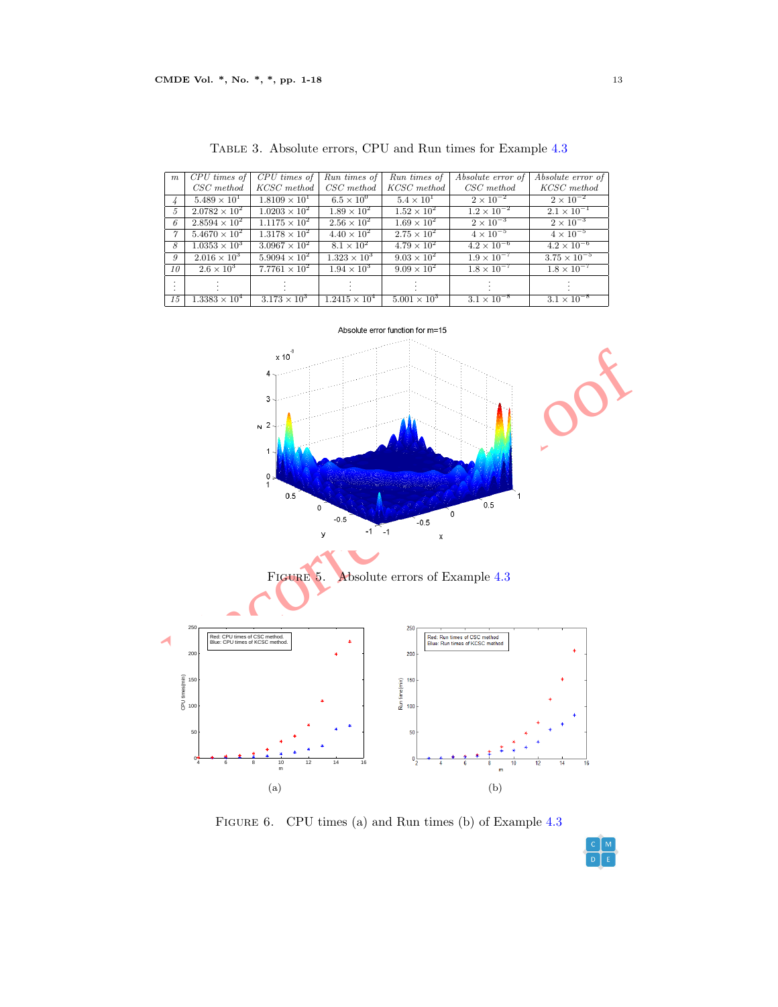| m              | CPU times of           | CPU times of           | Run times of           | Run times of          | Absolute error of    | Absolute error of     |
|----------------|------------------------|------------------------|------------------------|-----------------------|----------------------|-----------------------|
|                | $CSC$ method           | KCSC method            | $CSC$ method           | KCSC method           | $CSC$ method         | KCSC method           |
|                | $5.489 \times 10^{1}$  | $1.8109 \times 10^{1}$ | $6.5 \times 10^{0}$    | $5.4 \times 10^{1}$   | $2 \times 10^{-2}$   | $2 \times 10^{-2}$    |
| $\overline{5}$ | $2.0782 \times 10^{2}$ | $1.0203 \times 10^{2}$ | $1.89 \times 10^{2}$   | $1.52 \times 10^{2}$  | $1.2 \times 10^{-2}$ | $2.1 \times 10^{-1}$  |
| 6              | $2.8594 \times 10^{2}$ | $1.1175 \times 10^{2}$ | $2.56 \times 10^{2}$   | $1.69 \times 10^{2}$  | $2 \times 10^{-3}$   | $2 \times 10^{-3}$    |
| $\gamma$       | $5.4670 \times 10^{2}$ | $1.3178 \times 10^{2}$ | $4.40 \times 10^{2}$   | $2.75 \times 10^{2}$  | $4 \times 10^{-5}$   | $4 \times 10^{-5}$    |
| 8              | $1.0353 \times 10^{3}$ | $3.0967 \times 10^{2}$ | $8.1 \times 10^{2}$    | $4.79 \times 10^{2}$  | $4.2 \times 10^{-6}$ | $4.2 \times 10^{-6}$  |
| 9              | $2.016 \times 10^{3}$  | $5.9094 \times 10^{2}$ | $1.323 \times 10^{3}$  | $9.03 \times 10^{2}$  | $1.9 \times 10^{-7}$ | $3.75 \times 10^{-5}$ |
| 10             | $2.6 \times 10^3$      | $7.7761 \times 10^{2}$ | $1.94 \times 10^{3}$   | $9.09 \times 10^{2}$  | $1.8 \times 10^{-7}$ | $1.8 \times 10^{-7}$  |
|                |                        |                        |                        |                       |                      |                       |
|                |                        |                        |                        |                       |                      |                       |
| 15             | $1.3383 \times 10^{4}$ | $3.173 \times 10^{3}$  | $1.2415 \times 10^{4}$ | $5.001 \times 10^{3}$ | $3.1 \times 10^{-8}$ | $3.1 \times 10^{-8}$  |

<span id="page-12-0"></span>Table 3. Absolute errors, CPU and Run times for Example [4.3](#page-11-2)



<span id="page-12-2"></span><span id="page-12-1"></span>Figure 6. CPU times (a) and Run times (b) of Example [4.3](#page-11-2)

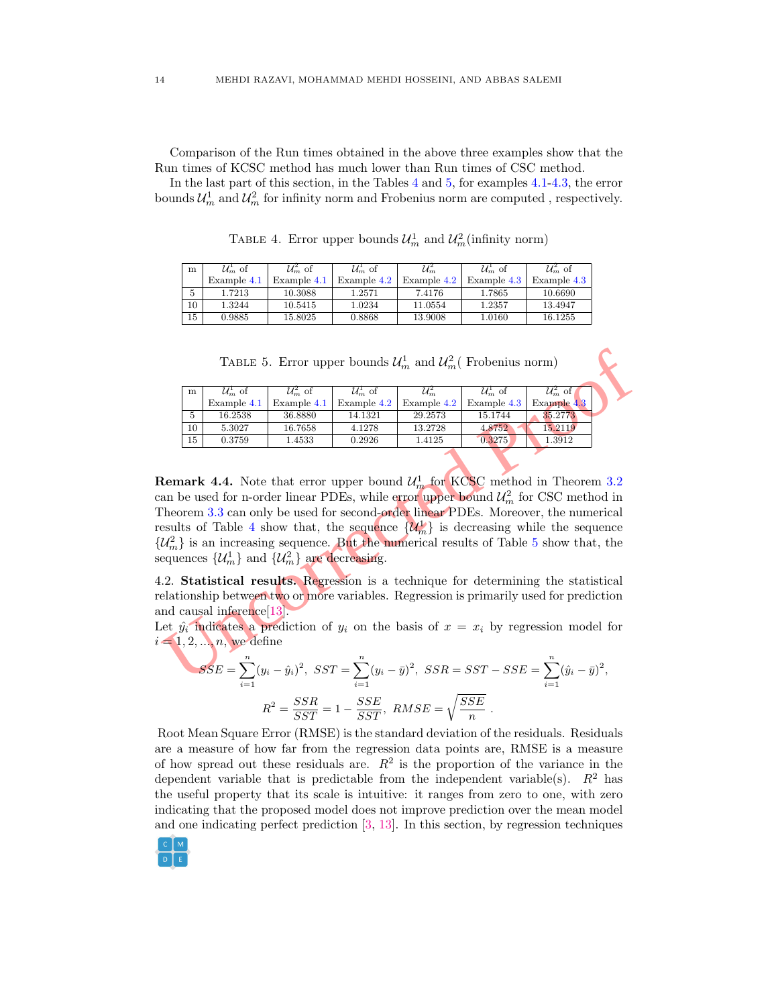Comparison of the Run times obtained in the above three examples show that the Run times of KCSC method has much lower than Run times of CSC method.

In the last part of this section, in the Tables [4](#page-13-0) and [5,](#page-13-1) for examples [4.1](#page-9-2)[-4.3](#page-11-2), the error bounds  $\mathcal{U}_m^1$  and  $\mathcal{U}_m^2$  for infinity norm and Frobenius norm are computed, respectively.

| m  | $\mathcal{U}_m^{\perp}$ of | $\mathcal{U}_{m}^{2}$ of | $\mathcal{U}_{m}^{\perp}$ of |             | $\mathcal{U}_m^{\perp}$ of | $\mathcal{U}_{m}^{2}$ of |
|----|----------------------------|--------------------------|------------------------------|-------------|----------------------------|--------------------------|
|    | Example 4.1                | Example 4.1              | Example 4.2                  | Example 4.2 | Example 4.3                | Example 4.3              |
| 5  | 1.7213                     | 10.3088                  | 1.2571                       | 7.4176      | 1.7865                     | 10.6690                  |
| 10 | 1.3244                     | 10.5415                  | 1.0234                       | 11.0554     | 1.2357                     | 13.4947                  |
| 15 | 0.9885                     | 15.8025                  | 0.8868                       | 13.9008     | 1.0160                     | 16.1255                  |

<span id="page-13-0"></span>TABLE 4. Error upper bounds  $\mathcal{U}_m^1$  and  $\mathcal{U}_m^2$  (infinity norm)

<span id="page-13-1"></span>TABLE 5. Error upper bounds  $\mathcal{U}_m^1$  and  $\mathcal{U}_m^2$  (Frobenius norm)

| m  | $\mathcal{U}_m^{\perp}$ of | $\mathcal{U}_{m}^{\epsilon}$ of | $\mathcal{U}_m^{\text{L}}$ of | $\mathcal{U}_m^2$ | $\mathcal{U}_m$ of | $\mathcal{U}_m^2$ of |
|----|----------------------------|---------------------------------|-------------------------------|-------------------|--------------------|----------------------|
|    | Example 4.1                | Example 4.1                     | Example 4.2                   | Example 4.2       | Example 4.3        | Example 4.3          |
| 5  | 16.2538                    | 36.8880                         | 14.1321                       | 29.2573           | 15.1744            | 35.2773              |
| 10 | 5.3027                     | 16.7658                         | 4.1278                        | 13.2728           | 4.8752             | 15.2119              |
| 15 | 0.3759                     | .4533                           | 0.2926                        | .4125             | 0.3275             | 1.3912               |

TABLE 5. Error upper bounds  $\mathcal{U}_m^1$  and  $\mathcal{U}_m^2$  (Frobenius norm)<br>  $\frac{U_m}{5}$   $\frac{U_m}{15}$  of  $\frac{U_m}{15}$  of  $\frac{U_m}{15}$  of  $\frac{U_m}{15}$  of  $\frac{U_m}{15}$  of  $\frac{U_m}{15}$  of  $\frac{U_m}{15}$  of  $\frac{U_m}{15}$  of  $\frac{U_m}{15}$  of **Remark 4.4.** Note that error upper bound  $\mathcal{U}_m^1$  for KCSC method in Theorem 3.2 can be used for n-order linear PDEs, while error upper bound  $\mathcal{U}_m^2$  for CSC method in Theorem 3.3 can only be used for second-order linear PDEs. Moreover, the numerical results of Table 4 show that, the sequence  $\{\mathcal{U}_m^{\mathcal{V}}\}$  is decreasing while the sequence  $\{\mathcal{U}_m^2\}$  is an increasing sequence. But the numerical results of Table 5 show that, the sequences  $\{\mathcal{U}_m^1\}$  and  $\{\mathcal{U}_m^2\}$  are decreasing.

4.2. **Statistical results.** Regression is a technique for determining the statistical relationship between two or more variables. Regression is primarily used for prediction and causal inference[13].

Let  $\hat{y}_i$  indicates a prediction of  $y_i$  on the basis of  $x = x_i$  by regression model for  $i = 1, 2, ..., n$ , we define

$$
SSE = \sum_{i=1}^{n} (y_i - \hat{y}_i)^2, \quad SST = \sum_{i=1}^{n} (y_i - \bar{y})^2, \quad SSR = SST - SSE = \sum_{i=1}^{n} (\hat{y}_i - \bar{y})^2,
$$

$$
R^2 = \frac{SSR}{SST} = 1 - \frac{SSE}{SST}, \quad RMSE = \sqrt{\frac{SSE}{n}}.
$$

Root Mean Square Error (RMSE) is the standard deviation of the residuals. Residuals are a measure of how far from the regression data points are, RMSE is a measure of how spread out these residuals are.  $R^2$  is the proportion of the variance in the dependent variable that is predictable from the independent variable(s).  $R^2$  has the useful property that its scale is intuitive: it ranges from zero to one, with zero indicating that the proposed model does not improve prediction over the mean model and one indicating perfect prediction [ [3](#page-16-20) , [13](#page-16-19)]. In this section, by regression techniques

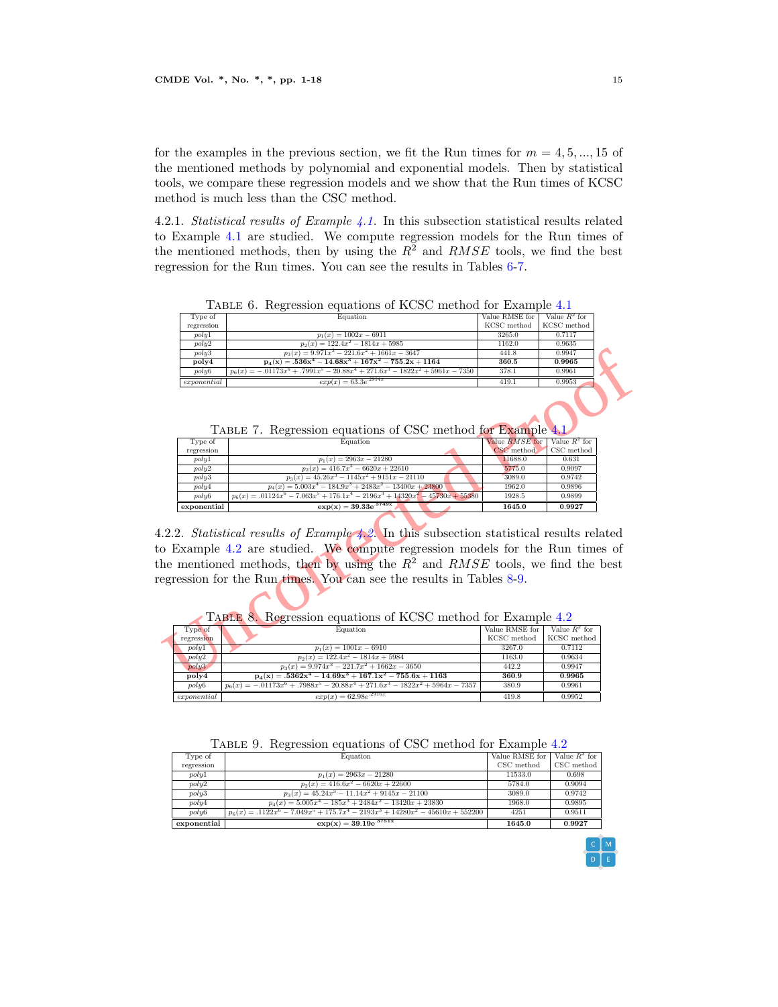for the examples in the previous section, we fit the Run times for  $m = 4, 5, ..., 15$  of the mentioned methods by polynomial and exponential models. Then by statistical tools, we compare these regression models and we show that the Run times of KCSC method is much less than the CSC method.

4.2.1. *Statistical results of Example [4.1](#page-9-2) .* In this subsection statistical results related to Example [4.1](#page-9-2) are studied. We compute regression models for the Run times of the mentioned methods, then by using the  $R^2$  and  $RMSE$  tools, we find the best regression for the Run times. You can see the results in Tables [6](#page-14-0)-[7](#page-14-1).

| Type of        | Equation                                                                          | Value RMSE for | Value $R^2$ for |  |
|----------------|-----------------------------------------------------------------------------------|----------------|-----------------|--|
| regression     |                                                                                   | KCSC method    | KCSC method     |  |
| poly1          | $p_1(x) = 1002x - 6911$                                                           | 3265.0         | 0.7117          |  |
| poly2          | $p_2(x) = 122.4x^2 - 1814x + 5985$                                                | 1162.0         | 0.9635          |  |
| poly3          | $p_3(x) = 9.971x^3 - 221.6x^2 + 1661x - 3647$                                     | 441.8          | 0.9947          |  |
| $\text{poly4}$ | $p_4(x) = .536x^4 - 14.68x^3 + 167x^2 - 755.2x + 1164$                            | 360.5          | 0.9965          |  |
| poly6          | $p_6(x) = -0.01173x^6 + 0.7991x^5 - 20.88x^4 + 271.6x^3 - 1822x^2 + 5961x - 7350$ | 378.1          | 0.9961          |  |
| exponential    | $exp(x) = 63.3e^{.2914x}$                                                         | 419.1          | 0.9953          |  |
|                |                                                                                   |                |                 |  |

<span id="page-14-0"></span>Table 6. Regression equations of KCSC method for Example [4.1](#page-9-2)

<span id="page-14-1"></span>

| poly3                        |                                                                                                                                                                          |                               |                                |
|------------------------------|--------------------------------------------------------------------------------------------------------------------------------------------------------------------------|-------------------------------|--------------------------------|
|                              | $p_3(x) = 9.971x^3 - 221.6x^2 + 1661x - 3647$                                                                                                                            | 441.8                         | 0.9947                         |
| poly4                        | $p_4(x) = .536x^4 - 14.68x^3 + 167x^2 - 755.2x + 1164$                                                                                                                   | 360.5                         | 0.9965                         |
| poly6                        | $p_6(x) = -.01173x^6 + .7991x^5 - 20.88x^4 + 271.6x^3 - 1822x^2 + 5961x - 7350$                                                                                          | 378.1                         | 0.9961                         |
| exponential                  | $exp(x) = 63.3e^{\cdot \sqrt{2914x}}$                                                                                                                                    | 419.1                         | 0.9953                         |
|                              | TABLE 7. Regression equations of CSC method for Example 4.1                                                                                                              |                               |                                |
| Type of                      | Equation                                                                                                                                                                 | Value RMSE for                | Value $R^2$ for                |
| regression                   |                                                                                                                                                                          | CSC method                    | CSC method                     |
| poly1                        | $p_1(x) = 2963x - 21280$                                                                                                                                                 | 11688.0                       | 0.631                          |
| poly2                        | $p_2(x) = 416.7x^2 - 6620x + 22610$                                                                                                                                      | 5775.0                        | 0.9097                         |
| poly3                        | $p_3(x) = 45.\overline{26x^3} - 1145x^2 + 9151x - 21110$                                                                                                                 | 3089.0                        | 0.9742                         |
| poly4                        | $p_4(x) = 5.003x^4 - 184.9x^3 + 2483x^2 - 13400x + 23800$                                                                                                                | 1962.0                        | 0.9896                         |
| poly6                        | $p_6(x) = .01124x^6 - 7.063x^5 + 176.1x^4 - 2196x^3 + 14320x^2 - 45730x + 55380$                                                                                         | 1928.5                        | 0.9899                         |
| exponential                  | $\exp(x) = 39.33e^{.3749x}$                                                                                                                                              | 1645.0                        | 0.9927                         |
|                              |                                                                                                                                                                          |                               |                                |
|                              | .2.2. Statistical results of Example 4.2. In this subsection statistical results related<br>o Example 4.2 are studied. We compute regression models for the Run times of |                               |                                |
|                              | he mentioned methods, then by using the $R^2$ and $RMSE$ tools, we find the best<br>egression for the Run times. You can see the results in Tables 8-9.                  |                               |                                |
|                              | TABLE 8. Regression equations of KCSC method for Example 4.2                                                                                                             |                               |                                |
| Type of                      | Equation                                                                                                                                                                 | Value RMSE for<br>KCSC method | Value $R^2$ for<br>KCSC method |
| poly1                        | $p_1(x) = 1001x - 6910$                                                                                                                                                  | 3267.0                        | 0.7112                         |
| poly2                        | $p_2(x) = 122.4x^2 - 1814x + 5984$                                                                                                                                       | 1163.0                        | 0.9634                         |
| regression<br>poly3<br>poly4 | $p_3(x) = 9.974x^3 - 221.7x^2 + 1662x - 3650$<br>$p_4(x) = .5362x^4 - 14.69x^3 + 167.1x^2 - 755.6x + 1163$                                                               | 442.2<br>360.9                | 0.9947<br>0.9965               |

<span id="page-14-2"></span>

|             | <b>TABLE 8. Regression equations of KCSC method for Example 4.2</b>               |                |                 |
|-------------|-----------------------------------------------------------------------------------|----------------|-----------------|
| Type of     | Equation                                                                          | Value RMSE for | Value $R^2$ for |
| regression  |                                                                                   | KCSC method    | KCSC method     |
| poly1       | $p_1(x) = 1001x - 6910$                                                           | 3267.0         | 0.7112          |
| poly2       | $p_2(x) = 122.4x^2 - 1814x + 5984$                                                | 1163.0         | 0.9634          |
| poly3       | $p_3(x) = 9.974x^3 - 221.7x^2 + 1662x - 3650$                                     | 442.2          | 0.9947          |
| poly4       | $p_4(x) = .5362x^4 - 14.69x^3 + 167.1x^2 - 755.6x + 1163$                         | 360.9          | 0.9965          |
| poly6       | $p_6(x) = -0.01173x^6 + 0.7988x^5 - 20.88x^4 + 271.6x^3 - 1822x^2 + 5964x - 7357$ | 380.9          | 0.9961          |
| exponential | $exp(x) = 62.98e^{.2916x}$                                                        | 419.8          | 0.9952          |

<span id="page-14-3"></span>

|             | TABLE 9. Regression equations of CSC method for Example 4.2                      |                |                 |  |  |  |
|-------------|----------------------------------------------------------------------------------|----------------|-----------------|--|--|--|
| Type of     | Equation                                                                         | Value RMSE for | Value $R^2$ for |  |  |  |
| regression  |                                                                                  | CSC method     | CSC method      |  |  |  |
| poly1       | $p_1(x) = 2963x - 21280$                                                         | 11533.0        | 0.698           |  |  |  |
| poly2       | $p_2(x) = 416.6x^2 - 6620x + 22600$                                              | 5784.0         | 0.9094          |  |  |  |
| poly3       | $p_3(x) = 45.24x^3 - 11.14x^2 + 9145x - 21100$                                   | 3089.0         | 0.9742          |  |  |  |
| poly4       | $p_4(x) = 5.005x^4 - 185x^3 + 2484x^2 - 13420x + 23830$                          | 1968.0         | 0.9895          |  |  |  |
| poly6       | $p_6(x) = .1122x^6 - 7.049x^5 + 175.7x^4 - 2193x^3 + 14280x^2 - 45610x + 552200$ | 4251           | 0.9511          |  |  |  |
| exponential | $\exp(x) = 39.19e^{.3751x}$                                                      | 1645.0         | 0.9927          |  |  |  |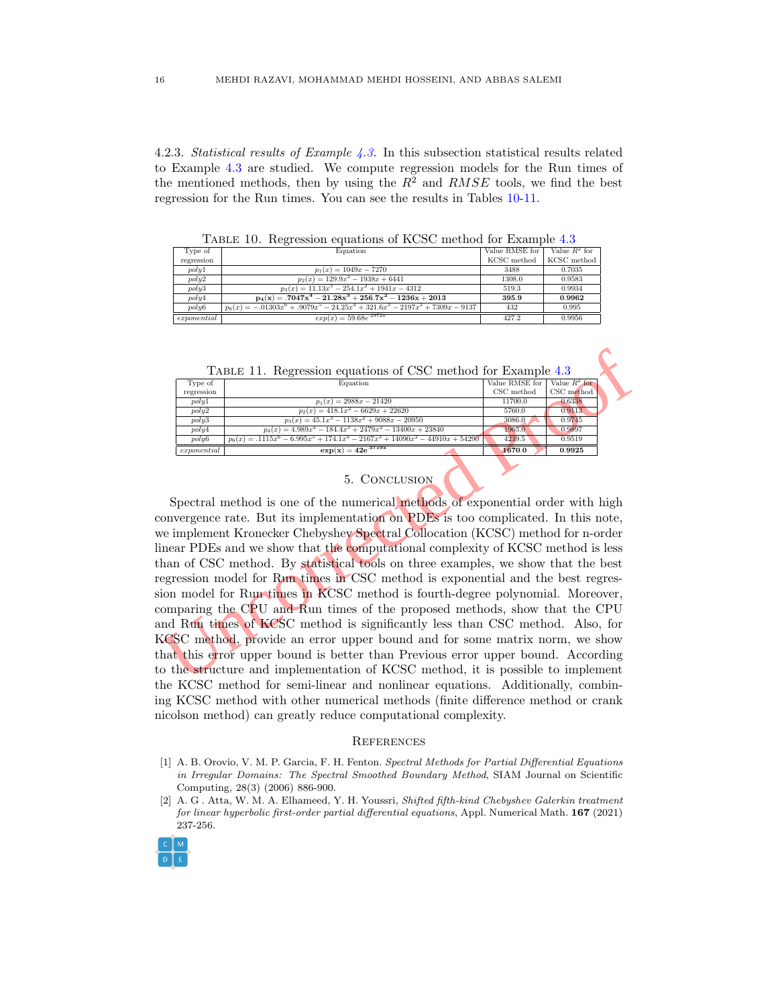4.2.3. *Statistical results of Example [4.3](#page-11-2) .* In this subsection statistical results related to Example [4.3](#page-11-2) are studied. We compute regression models for the Run times of the mentioned methods, then by using the  $R^2$  and  $RMSE$  tools, we find the best regression for the Run times. You can see the results in Tables  $10-11$  $10-11$ .

| Type of     | Equation                                                                          | Value RMSE for | Value $\overline{R^2}$ for |
|-------------|-----------------------------------------------------------------------------------|----------------|----------------------------|
| regression  |                                                                                   | KCSC method    | KCSC method                |
| poly1       | $p_1(x) = 1049x - 7270$                                                           | 3488           | 0.7035                     |
| poly2       | $p_2(x) = 129.9x^2 - 1938x + 6441$                                                | 1308.0         | 0.9583                     |
| poly3       | $p_3(x) = 11.13x^3 - 254.1x^2 + 1941x - 4312$                                     | 519.3          | 0.9934                     |
| poly4       | $p_4(x) = .7047x^4 - 21.28x^3 + 256.7x^2 - 1236x + 2013$                          | 395.9          | 0.9962                     |
| poly6       | $p_6(x) = -0.01303x^6 + 0.9079x^5 - 24.25x^4 + 321.6x^3 - 2197x^2 + 7309x - 9137$ | 432            | 0.995                      |
| exponential | $exp(x) = 59.68e^{.2972x}$                                                        | 427.2          | 0.9956                     |

<span id="page-15-2"></span>TABLE 10. Regression equations of KCSC method for Example [4.3](#page-11-2)

<span id="page-15-3"></span>

| Type of     | Equation                                                                        | Value RMSE for | Value $R^2$ for |  |
|-------------|---------------------------------------------------------------------------------|----------------|-----------------|--|
| regression  |                                                                                 | CSC method     | CSC method      |  |
| poly1       | $p_1(x) = 2988x - 21420$                                                        | 11700.0        | 0.6338          |  |
| poly2       | $p_2(x) = 418.1x^2 - 6629x + 22620$                                             | 5760.0         | 0.9113          |  |
| poly3       | $p_3(x) = 45.1x^3 - 1138x^2 + 9088x - 20950$                                    | 3086.0.        | 0.9745          |  |
| poly4       | $p_4(x) = 4.989x^4 - 184.4x^3 + 2479x^2 - 13400x + 23840$                       | 1965.0         | 0.9897          |  |
| poly6       | $p_6(x) = .1115x^6 - 6.995x^5 + 174.1x^4 - 2167x^3 + 14090x^2 - 44910x + 54290$ | 4239.5         | 0.9519          |  |
| exponential | $\exp(x) = 42e^{.3719x}$                                                        | 1670.0         | 0.9925          |  |
|             |                                                                                 |                |                 |  |

# 5. Conclusion

Tape of  $\frac{F_{\text{PDE}}}{F_{\text{PDE}}}$   $\frac{F_{\text{QDE}}}{F_{\text{QDE}}}$   $\frac{F_{\text{QDE}}}{F_{\text{QDE}}}$   $\frac{F_{\text{QDE}}}{F_{\text{QDE}}}$   $\frac{F_{\text{QDE}}}{F_{\text{QDE}}}$   $\frac{F_{\text{QDE}}}{F_{\text{QDE}}}$   $\frac{F_{\text{QDE}}}{F_{\text{QDE}}}$   $\frac{F_{\text{QDE}}}{F_{\text{QDE}}}$   $\frac{F_{\text{QDE}}}{F_{\text{QDE}}}$   $\frac{F_{$ Spectral method is one of the numerical methods of exponential order with high convergence rate. But its implementation on PDEs is too complicated. In this note, we implement Kronecker Chebyshev Spectral Collocation (KCSC) method for n-order linear PDEs and we show that the computational complexity of KCSC method is less than of CSC method. By statistical tools on three examples, we show that the best regression model for Run times in CSC method is exponential and the best regression model for Run times in KCSC method is fourth-degree polynomial. Moreover, comparing the CPU and Run times of the proposed methods, show that the CPU and Run times of KCSC method is significantly less than CSC method. Also, for KCSC method, provide an error upper bound and for some matrix norm, we show that this error upper bound is better than Previous error upper bound. According to the structure and implementation of KCSC method, it is possible to implement the KCSC method for semi-linear and nonlinear equations. Additionally, combining KCSC method with other numerical methods (finite difference method or crank nicolson method) can greatly reduce computational complexity.

#### **REFERENCES**

- <span id="page-15-0"></span>[1] A. B. Orovio, V. M. P. Garcia, F. H. Fenton. *Spectral Methods for Partial Differential Equations in Irregular Domains: The Spectral Smoothed Boundary Method*, SIAM Journal on Scientific Computing, 28(3) (2006) 886-900.
- <span id="page-15-1"></span>[2] A. G . Atta, W. M. A. Elhameed, Y. H. Youssri, *Shifted fifth-kind Chebyshev Galerkin treatment for linear hyperbolic first-order partial differential equations*, Appl. Numerical Math. **167** (2021) 237-256.

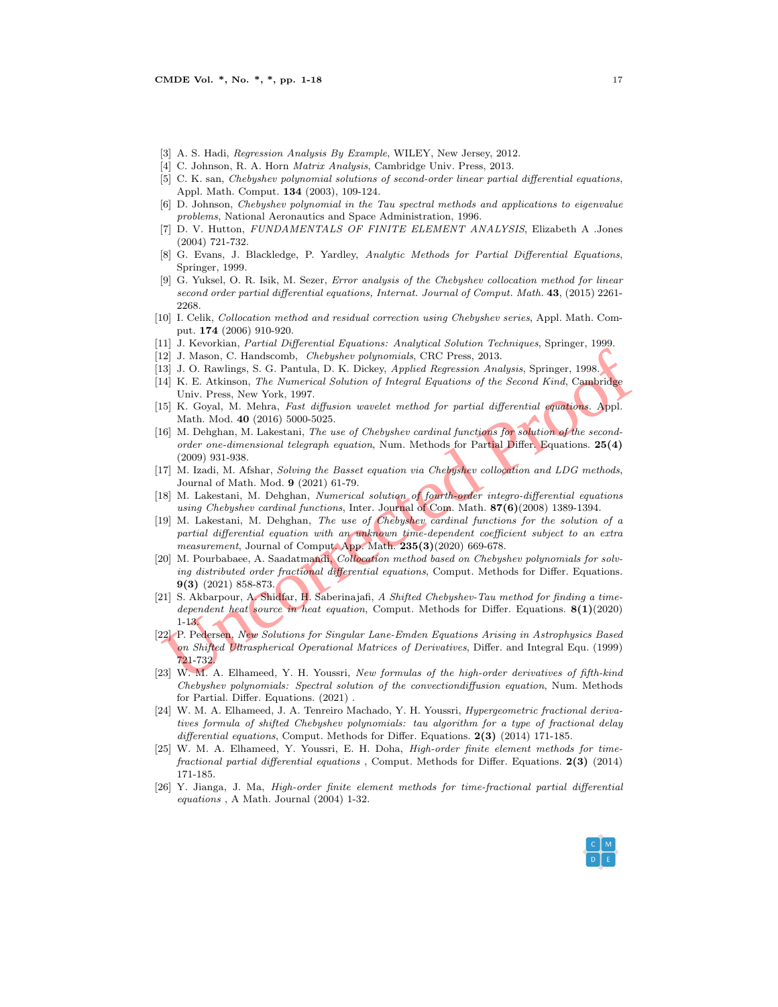- <span id="page-16-20"></span>[3] A. S. Hadi, *Regression Analysis By Example*, WILEY, New Jersey, 2012.
- <span id="page-16-17"></span>[4] C. Johnson, R. A. Horn *Matrix Analysis*, Cambridge Univ. Press, 2013.
- <span id="page-16-6"></span>[5] C. K. san, *Chebyshev polynomial solutions of second-order linear partial differential equations* , Appl. Math. Comput. **134** (2003), 109-124.
- [6] D. Johnson, *Chebyshev polynomial in the Tau spectral methods and applications to eigenvalue problems*, National Aeronautics and Space Administration, 1996.
- <span id="page-16-3"></span>[7] D. V. Hutton, *FUNDAMENTALS OF FINITE ELEMENT ANALYSIS*, Elizabeth A .Jones (2004) 721-732.
- <span id="page-16-0"></span>[8] G. Evans, J. Blackledge, P. Yardley, *Analytic Methods for Partial Differential Equations* , Springer, 1999.
- <span id="page-16-7"></span>[9] G. Yuksel, O. R. Isik, M. Sezer, *Error analysis of the Chebyshev collocation method for linear second order partial differential equations, Internat. Journal of Comput. Math.* **43**, (2015) 2261- 2268.
- [10] I. Celik, *Collocation method and residual correction using Chebyshev series*, Appl. Math. Comput. **174** (2006) 910-920.
- <span id="page-16-1"></span>[11] J. Kevorkian, *Partial Differential Equations: Analytical Solution Techniques*, Springer, 1999.
- <span id="page-16-16"></span>[12] J. Mason, C. Handscomb, *Chebyshev polynomials*, CRC Press, 2013.
- <span id="page-16-19"></span>[13] J. O. Rawlings, S. G. Pantula, D. K. Dickey, *Applied Regression Analysis*, Springer, 1998.
- <span id="page-16-18"></span>[14] K. E. Atkinson, *The Numerical Solution of Integral Equations of the Second Kind*, Cambridge Univ. Press, New York, 1997.
- <span id="page-16-4"></span>[15] K. Goyal, M. Mehra, *Fast diffusion wavelet method for partial differential equations.* Appl. Math. Mod. **40** (2016) 5000-5025.
- <span id="page-16-8"></span>[16] M. Dehghan, M. Lakestani, *The use of Chebyshev cardinal functions for solution of the secondorder one-dimensional telegraph equation*, Num. Methods for Partial Differ. Equations. **25(4)** (2009) 931-938.
- <span id="page-16-9"></span>[17] M. Izadi, M. Afshar, *Solving the Basset equation via Chebyshev collocation and LDG methods* , Journal of Math. Mod. **9** (2021) 61-79.
- <span id="page-16-10"></span>[18] M. Lakestani, M. Dehghan, *Numerical solution of fourth-order integro-differential equations using Chebyshev cardinal functions*, Inter. Journal of Com. Math. **87(6)**(2008) 1389-1394.
- <span id="page-16-11"></span>[19] M. Lakestani, M. Dehghan, *The use of Chebyshev cardinal functions for the solution of a partial differential equation with an unknown time-dependent coefficient subject to an extra measurement*, Journal of Comput. App. Math. **235(3)**(2020) 669-678.
- <span id="page-16-13"></span><span id="page-16-12"></span>[20] M. Pourbabaee, A. Saadatmandi, *Collocation method based on Chebyshev polynomials for solving distributed order fractional differential equations*, Comput. Methods for Differ. Equations. **9(3)** (2021) 858-873.
- 12] J. Mason, C. Handscomb, *Chebyshev polynomials*, CRC Press, 2013.<br>
13] J. O. Rawlings, S. G. Pantula, D. K. Dickey, Applied Regression Analysis, Springer, 1998.<br>
14] K. E. Atkinson, The Numerical Solution of Integral [21] S. Akbarpour, A. Shidfar, H. Saberinajafi, *A Shifted Chebyshev-Tau method for finding a timedependent heat source in heat equation*, Comput. Methods for Differ. Equations. **8(1)**(2020) 1-13.
- <span id="page-16-2"></span>[22] P. Pedersen, *New Solutions for Singular Lane-Emden Equations Arising in Astrophysics Based on Shifted Ultraspherical Operational Matrices of Derivatives*, Differ. and Integral Equ. (1999) 721-732.
- <span id="page-16-14"></span>[23] W. M. A. Elhameed, Y. H. Youssri, *New formulas of the high-order derivatives of fifth-kind Chebyshev polynomials: Spectral solution of the convectiondiffusion equation*, Num. Methods for Partial. Differ. Equations. (2021) .
- [24] W. M. A. Elhameed, J. A. Tenreiro Machado, Y. H. Youssri, *Hypergeometric fractional derivatives formula of shifted Chebyshev polynomials: tau algorithm for a type of fractional delay differential equations*, Comput. Methods for Differ. Equations. **2(3)** (2014) 171-185.
- <span id="page-16-15"></span>[25] W. M. A. Elhameed, Y. Youssri, E. H. Doha, *High-order finite element methods for timefractional partial differential equations* , Comput. Methods for Differ. Equations. **2(3)** (2014) 171-185.
- <span id="page-16-5"></span>[26] Y. Jianga, J. Ma, *High-order finite element methods for time-fractional partial differential equations* , A Math. Journal (2004) 1-32.